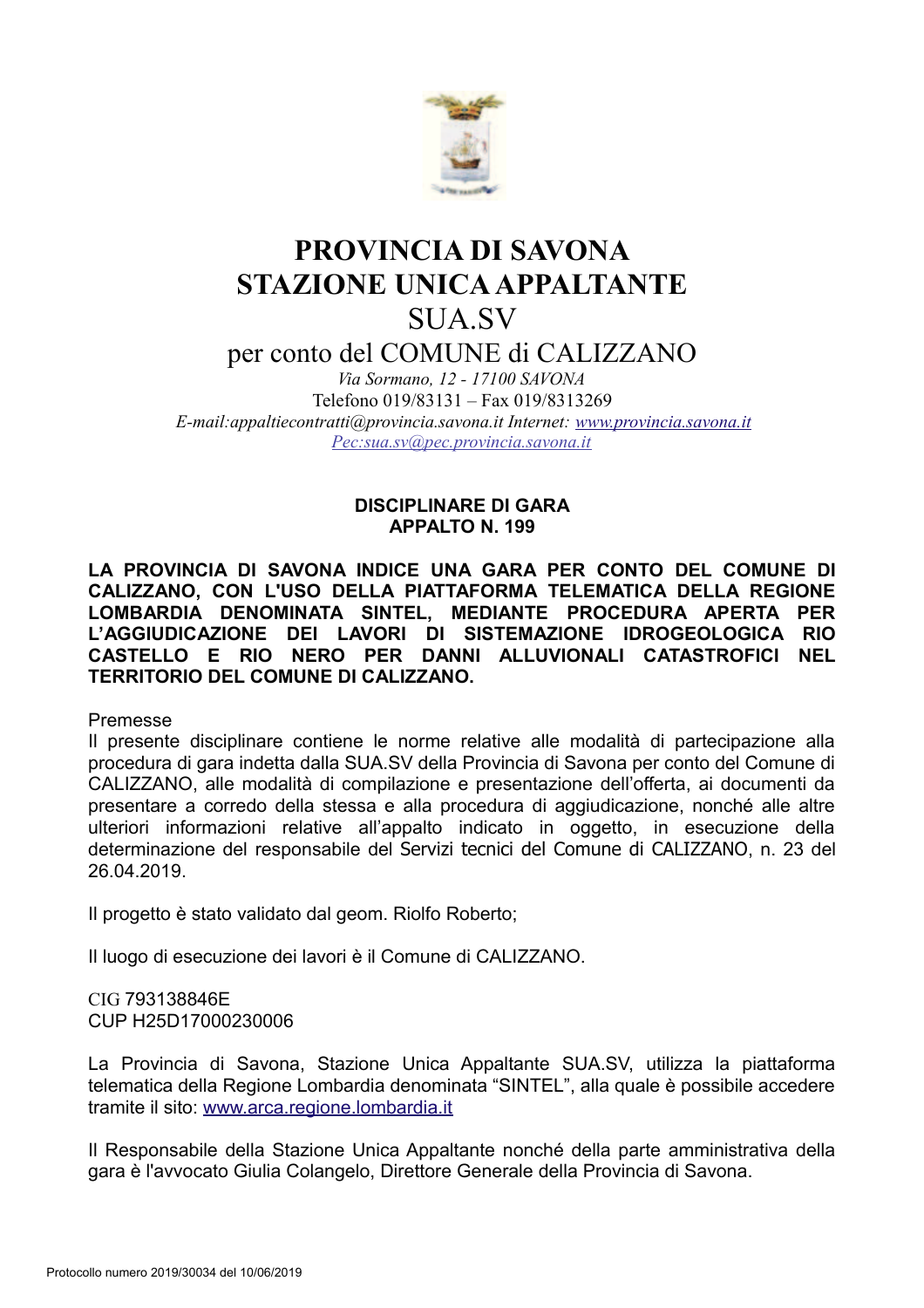

# PROVINCIA DI SAVONA **STAZIONE UNICA APPALTANTE** SUA SV

per conto del COMUNE di CALIZZANO

Via Sormano. 12 - 17100 SAVONA Telefono 019/83131 - Fax 019/8313269 E-mail: appaltiecontratti@provincia.savona.it Internet: www.provincia.savona.it Pec:sua.sv@pec.provincia.savona.it

> **DISCIPLINARE DI GARA APPALTO N. 199**

LA PROVINCIA DI SAVONA INDICE UNA GARA PER CONTO DEL COMUNE DI CALIZZANO. CON L'USO DELLA PIATTAFORMA TELEMATICA DELLA REGIONE LOMBARDIA DENOMINATA SINTEL, MEDIANTE PROCEDURA APERTA PER L'AGGIUDICAZIONE DEI LAVORI DI SISTEMAZIONE IDROGEOLOGICA RIO CASTELLO E RIO NERO PER DANNI ALLUVIONALI CATASTROFICI NEL **TERRITORIO DEL COMUNE DI CALIZZANO.** 

Premesse

Il presente disciplinare contiene le norme relative alle modalità di partecipazione alla procedura di gara indetta dalla SUA.SV della Provincia di Savona per conto del Comune di CALIZZANO, alle modalità di compilazione e presentazione dell'offerta, ai documenti da presentare a corredo della stessa e alla procedura di aggiudicazione, nonché alle altre ulteriori informazioni relative all'appalto indicato in oggetto, in esecuzione della determinazione del responsabile del Servizi tecnici del Comune di CALIZZANO, n. 23 del 26.04.2019.

Il progetto è stato validato dal geom. Riolfo Roberto:

Il luogo di esecuzione dei lavori è il Comune di CALIZZANO.

CIG 793138846F CUP H25D17000230006

La Provincia di Savona, Stazione Unica Appaltante SUA.SV, utilizza la piattaforma telematica della Regione Lombardia denominata "SINTEL", alla quale è possibile accedere tramite il sito: www.arca.regione.lombardia.it

Il Responsabile della Stazione Unica Appaltante nonché della parte amministrativa della gara è l'avvocato Giulia Colangelo. Direttore Generale della Provincia di Savona.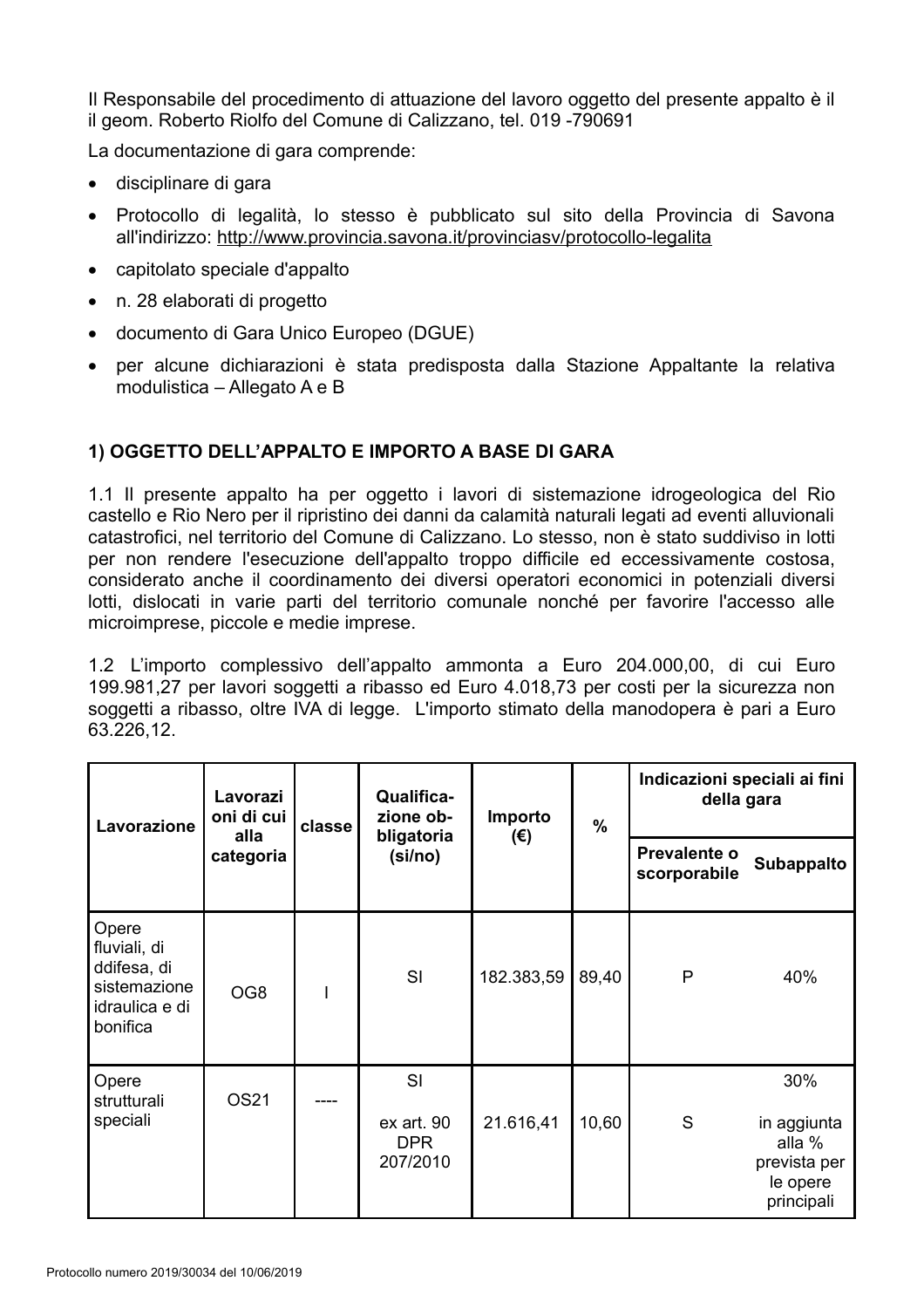Il Responsabile del procedimento di attuazione del lavoro oggetto del presente appalto è il il geom. Roberto Riolfo del Comune di Calizzano, tel. 019 -790691

La documentazione di gara comprende:

- · disciplinare di gara
- · Protocollo di legalità, lo stesso è pubblicato sul sito della Provincia di Savona all'indirizzo: http://www.provincia.savona.it/provinciasv/protocollo-legalita
- capitolato speciale d'appalto
- n. 28 elaborati di progetto
- documento di Gara Unico Europeo (DGUE)
- per alcune dichiarazioni è stata predisposta dalla Stazione Appaltante la relativa modulistica – Allegato A e B

## 1) OGGETTO DELL'APPALTO E IMPORTO A BASE DI GARA

1.1 Il presente appalto ha per oggetto i lavori di sistemazione idrogeologica del Rio castello e Rio Nero per il ripristino dei danni da calamità naturali legati ad eventi alluvionali catastrofici, nel territorio del Comune di Calizzano. Lo stesso, non è stato suddiviso in lotti per non rendere l'esecuzione dell'appalto troppo difficile ed eccessivamente costosa, considerato anche il coordinamento dei diversi operatori economici in potenziali diversi lotti, dislocati in varie parti del territorio comunale nonché per favorire l'accesso alle microimprese, piccole e medie imprese.

1.2 L'importo complessivo dell'appalto ammonta a Euro 204.000,00, di cui Euro 199.981,27 per lavori soggetti a ribasso ed Euro 4.018,73 per costi per la sicurezza non soggetti a ribasso, oltre IVA di legge. L'importo stimato della manodopera è pari a Euro 63.226.12.

| Lavorazione                                                                        | Lavorazi<br>oni di cui<br>alla<br>categoria | classe | <b>Qualifica-</b><br>zione ob-<br>bligatoria<br>(si/no) | Importo<br>$(\epsilon)$ | $\frac{0}{0}$ | Indicazioni speciali ai fini<br>della gara |                                                                        |
|------------------------------------------------------------------------------------|---------------------------------------------|--------|---------------------------------------------------------|-------------------------|---------------|--------------------------------------------|------------------------------------------------------------------------|
|                                                                                    |                                             |        |                                                         |                         |               | Prevalente o<br>scorporabile               | Subappalto                                                             |
| Opere<br>fluviali, di<br>ddifesa, di<br>sistemazione<br>idraulica e di<br>bonifica | OG8                                         |        | SI                                                      | 182.383,59              | 89,40         | P                                          | 40%                                                                    |
| Opere<br>strutturali<br>speciali                                                   | OS21                                        |        | SI<br>ex art. 90<br><b>DPR</b><br>207/2010              | 21.616,41               | 10,60         | S                                          | 30%<br>in aggiunta<br>alla %<br>prevista per<br>le opere<br>principali |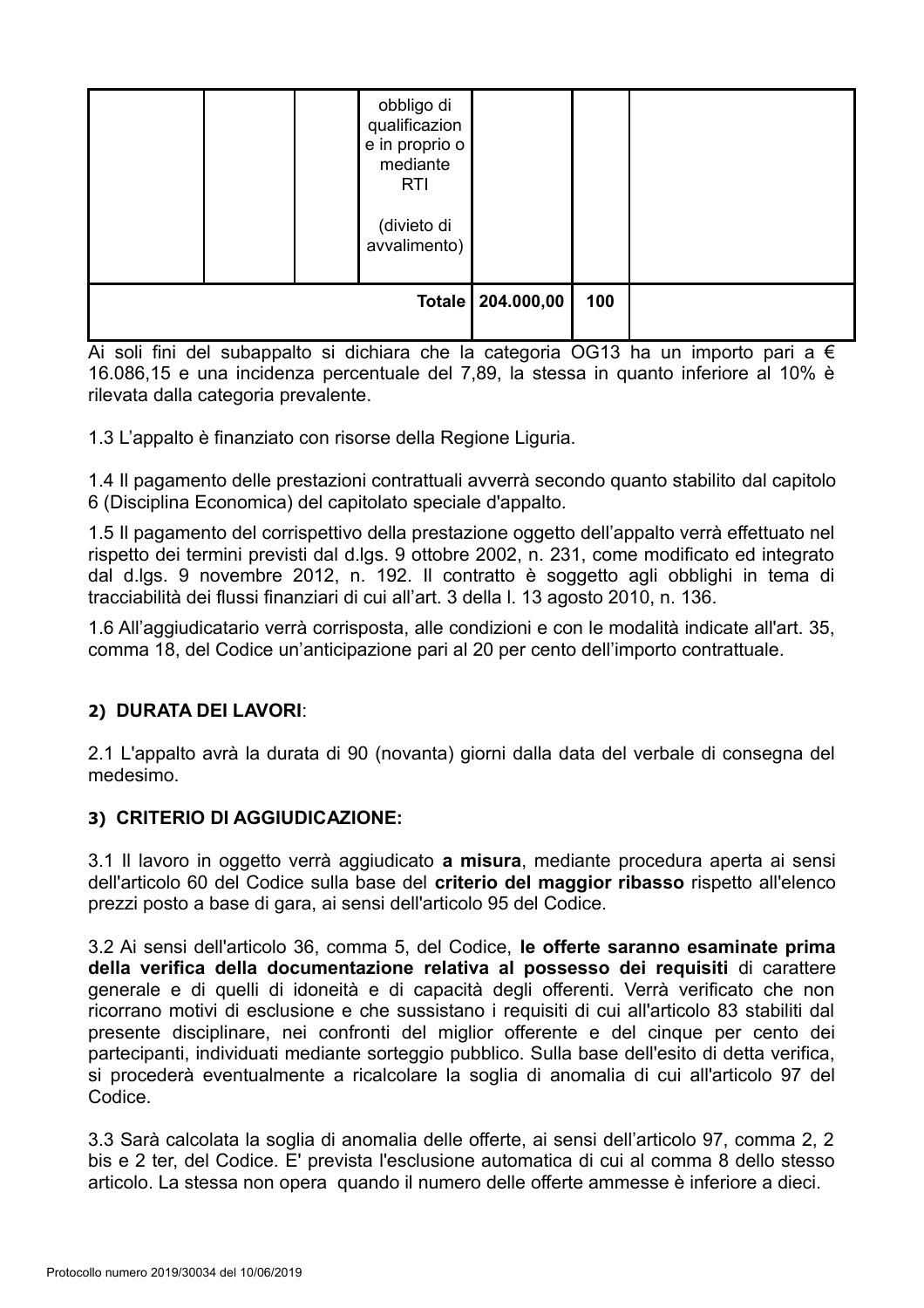|  | obbligo di<br>qualificazion<br>e in proprio o<br>mediante<br><b>RTI</b><br>(divieto di<br>avvalimento) |     |  |  |
|--|--------------------------------------------------------------------------------------------------------|-----|--|--|
|  | Totale   204.000,00                                                                                    | 100 |  |  |

Ai soli fini del subappalto si dichiara che la categoria OG13 ha un importo pari a  $\epsilon$ 16.086,15 e una incidenza percentuale del 7,89, la stessa in quanto inferiore al 10% è rilevata dalla categoria prevalente.

1.3 L'appalto è finanziato con risorse della Regione Liguria.

1.4 Il pagamento delle prestazioni contrattuali avverrà secondo quanto stabilito dal capitolo 6 (Disciplina Economica) del capitolato speciale d'appalto.

1.5 Il pagamento del corrispettivo della prestazione oggetto dell'appalto verrà effettuato nel rispetto dei termini previsti dal d.lgs. 9 ottobre 2002, n. 231, come modificato ed integrato dal d.lgs. 9 novembre 2012, n. 192. Il contratto è soggetto agli obblighi in tema di tracciabilità dei flussi finanziari di cui all'art. 3 della I. 13 agosto 2010, n. 136.

1.6 All'aggiudicatario verrà corrisposta, alle condizioni e con le modalità indicate all'art. 35, comma 18, del Codice un'anticipazione pari al 20 per cento dell'importo contrattuale.

## 2) DURATA DEI LAVORI:

2.1 L'appalto avrà la durata di 90 (novanta) giorni dalla data del verbale di consegna del medesimo.

## 3) CRITERIO DI AGGIUDICAZIONE:

3.1 Il lavoro in oggetto verrà aggiudicato a misura, mediante procedura aperta ai sensi dell'articolo 60 del Codice sulla base del criterio del maggior ribasso rispetto all'elenco prezzi posto a base di gara, ai sensi dell'articolo 95 del Codice.

3.2 Ai sensi dell'articolo 36, comma 5, del Codice. le offerte saranno esaminate prima della verifica della documentazione relativa al possesso dei requisiti di carattere generale e di quelli di idoneità e di capacità degli offerenti. Verrà verificato che non ricorrano motivi di esclusione e che sussistano i requisiti di cui all'articolo 83 stabiliti dal presente disciplinare, nei confronti del miglior offerente e del cinque per cento dei partecipanti, individuati mediante sorteggio pubblico. Sulla base dell'esito di detta verifica, si procederà eventualmente a ricalcolare la soglia di anomalia di cui all'articolo 97 del Codice.

3.3 Sarà calcolata la soglia di anomalia delle offerte, ai sensi dell'articolo 97, comma 2, 2 bis e 2 ter, del Codice. E' prevista l'esclusione automatica di cui al comma 8 dello stesso articolo. La stessa non opera quando il numero delle offerte ammesse è inferiore a dieci.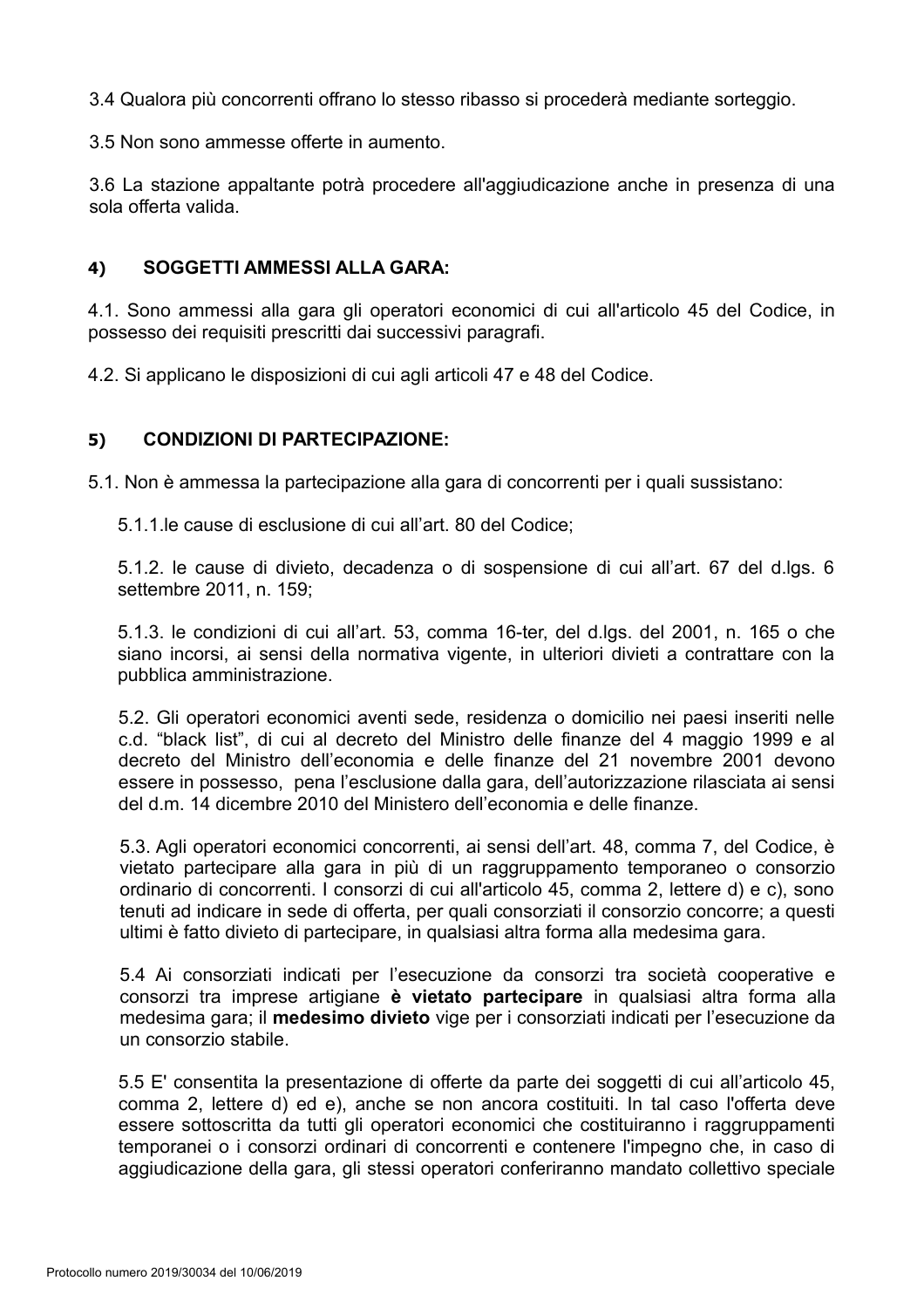3.4 Qualora più concorrenti offrano lo stesso ribasso si procederà mediante sorteggio.

3.5 Non sono ammesse offerte in aumento.

3.6 La stazione appaltante potrà procedere all'aggiudicazione anche in presenza di una sola offerta valida.

#### 4) **SOGGETTI AMMESSI ALLA GARA:**

4.1. Sono ammessi alla gara gli operatori economici di cui all'articolo 45 del Codice, in possesso dei requisiti prescritti dai successivi paragrafi.

4.2. Si applicano le disposizioni di cui agli articoli 47 e 48 del Codice.

#### **CONDIZIONI DI PARTECIPAZIONE:**  $5)$

5.1. Non è ammessa la partecipazione alla gara di concorrenti per i quali sussistano:

5.1.1. le cause di esclusione di cui all'art. 80 del Codice:

5.1.2. le cause di divieto, decadenza o di sospensione di cui all'art. 67 del d.lgs. 6 settembre 2011, n. 159;

5.1.3. le condizioni di cui all'art. 53, comma 16-ter, del d.lgs. del 2001, n. 165 o che siano incorsi, ai sensi della normativa vigente, in ulteriori divieti a contrattare con la pubblica amministrazione.

5.2. Gli operatori economici aventi sede, residenza o domicilio nei paesi inseriti nelle c.d. "black list", di cui al decreto del Ministro delle finanze del 4 maggio 1999 e al decreto del Ministro dell'economia e delle finanze del 21 novembre 2001 devono essere in possesso, pena l'esclusione dalla gara, dell'autorizzazione rilasciata ai sensi del d.m. 14 dicembre 2010 del Ministero dell'economia e delle finanze.

5.3. Agli operatori economici concorrenti, ai sensi dell'art, 48, comma 7, del Codice, è vietato partecipare alla gara in più di un raggruppamento temporaneo o consorzio ordinario di concorrenti. I consorzi di cui all'articolo 45, comma 2, lettere d) e c), sono tenuti ad indicare in sede di offerta, per quali consorziati il consorzio concorre; a questi ultimi è fatto divieto di partecipare, in qualsiasi altra forma alla medesima gara.

5.4 Ai consorziati indicati per l'esecuzione da consorzi tra società cooperative e consorzi tra imprese artigiane è vietato partecipare in qualsiasi altra forma alla medesima gara; il medesimo divieto vige per i consorziati indicati per l'esecuzione da un consorzio stabile.

5.5 E' consentita la presentazione di offerte da parte dei soggetti di cui all'articolo 45, comma 2, lettere d) ed e), anche se non ancora costituiti. In tal caso l'offerta deve essere sottoscritta da tutti gli operatori economici che costituiranno i raggruppamenti temporanei o i consorzi ordinari di concorrenti e contenere l'impegno che, in caso di aggiudicazione della gara, gli stessi operatori conferiranno mandato collettivo speciale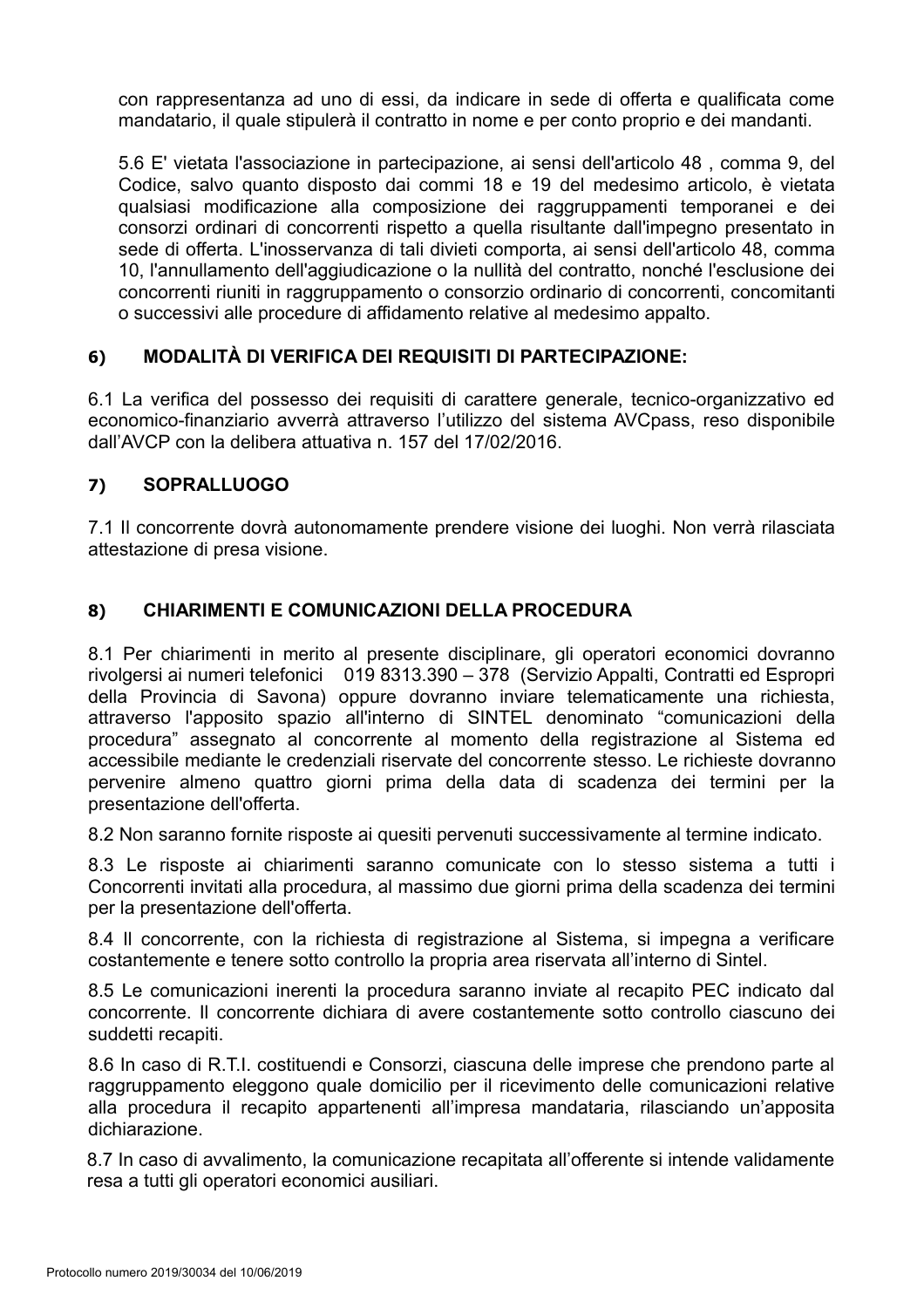con rappresentanza ad uno di essi, da indicare in sede di offerta e qualificata come mandatario, il quale stipulerà il contratto in nome e per conto proprio e dei mandanti.

5.6 E' vietata l'associazione in partecipazione, ai sensi dell'articolo 48, comma 9, del Codice, salvo quanto disposto dai commi 18 e 19 del medesimo articolo, è vietata qualsiasi modificazione alla composizione dei raggruppamenti temporanei e dei consorzi ordinari di concorrenti rispetto a quella risultante dall'impegno presentato in sede di offerta. L'inosservanza di tali divieti comporta, ai sensi dell'articolo 48, comma 10. l'annullamento dell'aggiudicazione o la nullità del contratto, nonché l'esclusione dei concorrenti riuniti in raggruppamento o consorzio ordinario di concorrenti, concomitanti o successivi alle procedure di affidamento relative al medesimo appalto.

#### **MODALITÀ DI VERIFICA DEI REQUISITI DI PARTECIPAZIONE:**  $6)$

6.1 La verifica del possesso dei requisiti di carattere generale, tecnico-organizzativo ed economico-finanziario avverrà attraverso l'utilizzo del sistema AVCpass, reso disponibile dall'AVCP con la delibera attuativa n. 157 del 17/02/2016.

#### **SOPRALLUOGO**  $7)$

7.1 Il concorrente dovrà autonomamente prendere visione dei luoghi. Non verrà rilasciata attestazione di presa visione.

#### CHIARIMENTI E COMUNICAZIONI DELLA PROCEDURA  $8)$

8.1 Per chiarimenti in merito al presente disciplinare, gli operatori economici dovranno rivolgersi ai numeri telefonici 019 8313.390 - 378 (Servizio Appalti, Contratti ed Espropri della Provincia di Savona) oppure dovranno inviare telematicamente una richiesta, attraverso l'apposito spazio all'interno di SINTEL denominato "comunicazioni della procedura" assegnato al concorrente al momento della registrazione al Sistema ed accessibile mediante le credenziali riservate del concorrente stesso. Le richieste dovranno pervenire almeno quattro giorni prima della data di scadenza dei termini per la presentazione dell'offerta.

8.2 Non saranno fornite risposte ai quesiti pervenuti successivamente al termine indicato.

8.3 Le risposte ai chiarimenti saranno comunicate con lo stesso sistema a tutti i Concorrenti invitati alla procedura, al massimo due giorni prima della scadenza dei termini per la presentazione dell'offerta.

8.4 Il concorrente, con la richiesta di registrazione al Sistema, si impegna a verificare costantemente e tenere sotto controllo la propria area riservata all'interno di Sintel.

8.5 Le comunicazioni inerenti la procedura saranno inviate al recapito PEC indicato dal concorrente. Il concorrente dichiara di avere costantemente sotto controllo ciascuno dei suddetti recapiti.

8.6 In caso di R.T.I. costituendi e Consorzi, ciascuna delle imprese che prendono parte al raggruppamento eleggono quale domicilio per il ricevimento delle comunicazioni relative alla procedura il recapito appartenenti all'impresa mandataria, rilasciando un'apposita dichiarazione.

8.7 In caso di avvalimento, la comunicazione recapitata all'offerente si intende validamente resa a tutti gli operatori economici ausiliari.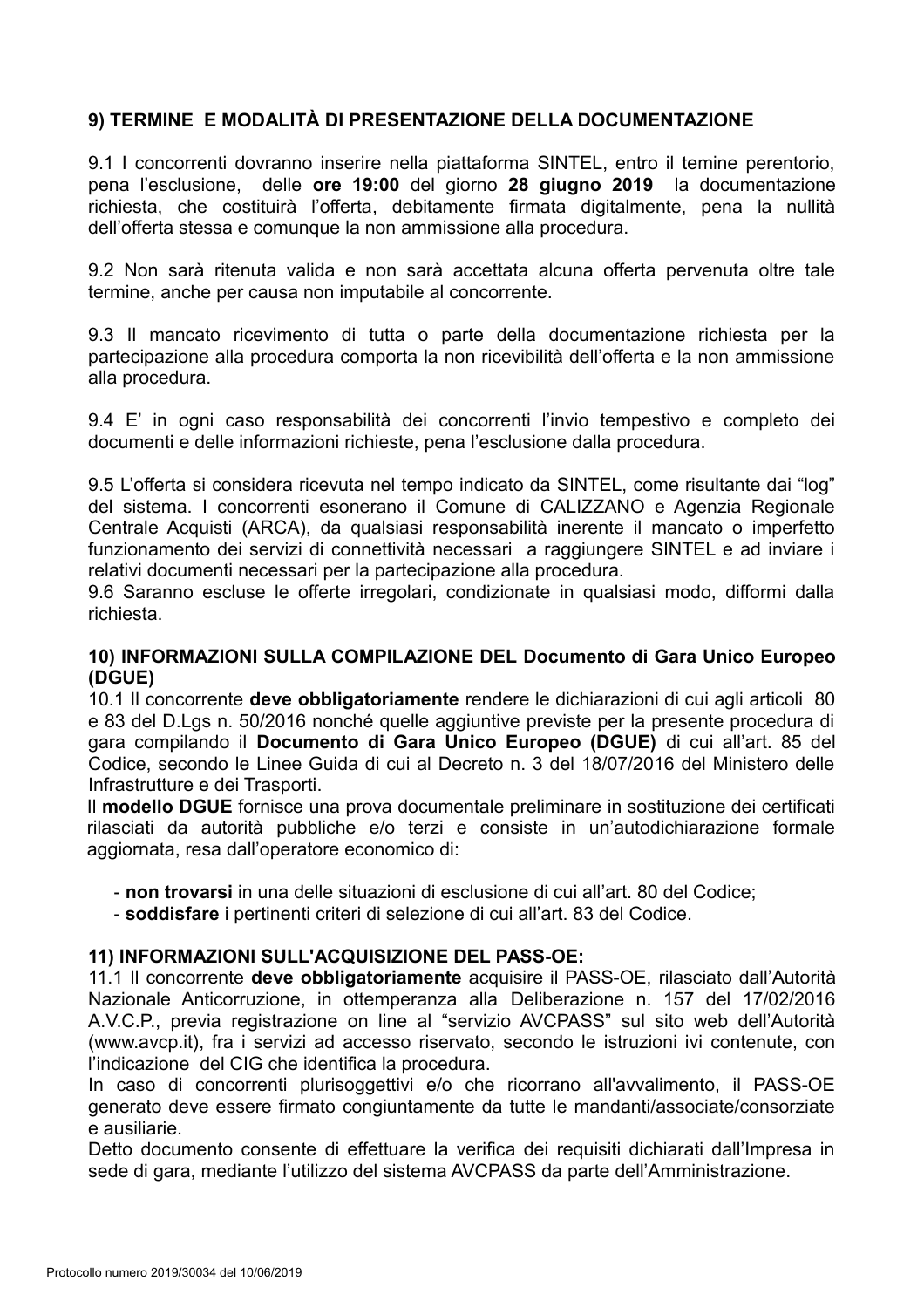## 9) TERMINE E MODALITÀ DI PRESENTAZIONE DELLA DOCUMENTAZIONE

9.1 I concorrenti dovranno inserire nella piattaforma SINTEL, entro il temine perentorio, pena l'esclusione, delle ore 19:00 del giorno 28 giugno 2019 la documentazione richiesta, che costituirà l'offerta, debitamente firmata digitalmente, pena la nullità dell'offerta stessa e comunque la non ammissione alla procedura.

9.2 Non sarà ritenuta valida e non sarà accettata alcuna offerta pervenuta oltre tale termine, anche per causa non imputabile al concorrente.

9.3 Il mancato ricevimento di tutta o parte della documentazione richiesta per la partecipazione alla procedura comporta la non ricevibilità dell'offerta e la non ammissione alla procedura.

9.4 E' in ogni caso responsabilità dei concorrenti l'invio tempestivo e completo dei documenti e delle informazioni richieste, pena l'esclusione dalla procedura.

9.5 L'offerta si considera ricevuta nel tempo indicato da SINTEL, come risultante dai "log" del sistema. I concorrenti esonerano il Comune di CALIZZANO e Agenzia Regionale Centrale Acquisti (ARCA), da qualsiasi responsabilità inerente il mancato o imperfetto funzionamento dei servizi di connettività necessari a raggiungere SINTEL e ad inviare i relativi documenti necessari per la partecipazione alla procedura.

9.6 Saranno escluse le offerte irregolari, condizionate in qualsiasi modo, difformi dalla richiesta

#### 10) INFORMAZIONI SULLA COMPILAZIONE DEL Documento di Gara Unico Europeo (DGUE)

10.1 Il concorrente deve obbligatoriamente rendere le dichiarazioni di cui agli articoli 80 e 83 del D.Lgs n. 50/2016 nonché quelle aggiuntive previste per la presente procedura di gara compilando il Documento di Gara Unico Europeo (DGUE) di cui all'art. 85 del Codice, secondo le Linee Guida di cui al Decreto n. 3 del 18/07/2016 del Ministero delle Infrastrutture e dei Trasporti.

Il modello DGUE fornisce una prova documentale preliminare in sostituzione dei certificati rilasciati da autorità pubbliche e/o terzi e consiste in un'autodichiarazione formale aggiornata, resa dall'operatore economico di:

- non trovarsi in una delle situazioni di esclusione di cui all'art. 80 del Codice:
- soddisfare i pertinenti criteri di selezione di cui all'art. 83 del Codice.

#### 11) INFORMAZIONI SULL'ACQUISIZIONE DEL PASS-OE:

11.1 Il concorrente deve obbligatoriamente acquisire il PASS-OE, rilasciato dall'Autorità Nazionale Anticorruzione, in ottemperanza alla Deliberazione n. 157 del 17/02/2016 A.V.C.P., previa registrazione on line al "servizio AVCPASS" sul sito web dell'Autorità (www.avcp.it), fra i servizi ad accesso riservato, secondo le istruzioni ivi contenute, con l'indicazione del CIG che identifica la procedura.

In caso di concorrenti plurisoggettivi e/o che ricorrano all'avvalimento, il PASS-OE generato deve essere firmato congiuntamente da tutte le mandanti/associate/consorziate e ausiliarie.

Detto documento consente di effettuare la verifica dei requisiti dichiarati dall'Impresa in sede di gara, mediante l'utilizzo del sistema AVCPASS da parte dell'Amministrazione.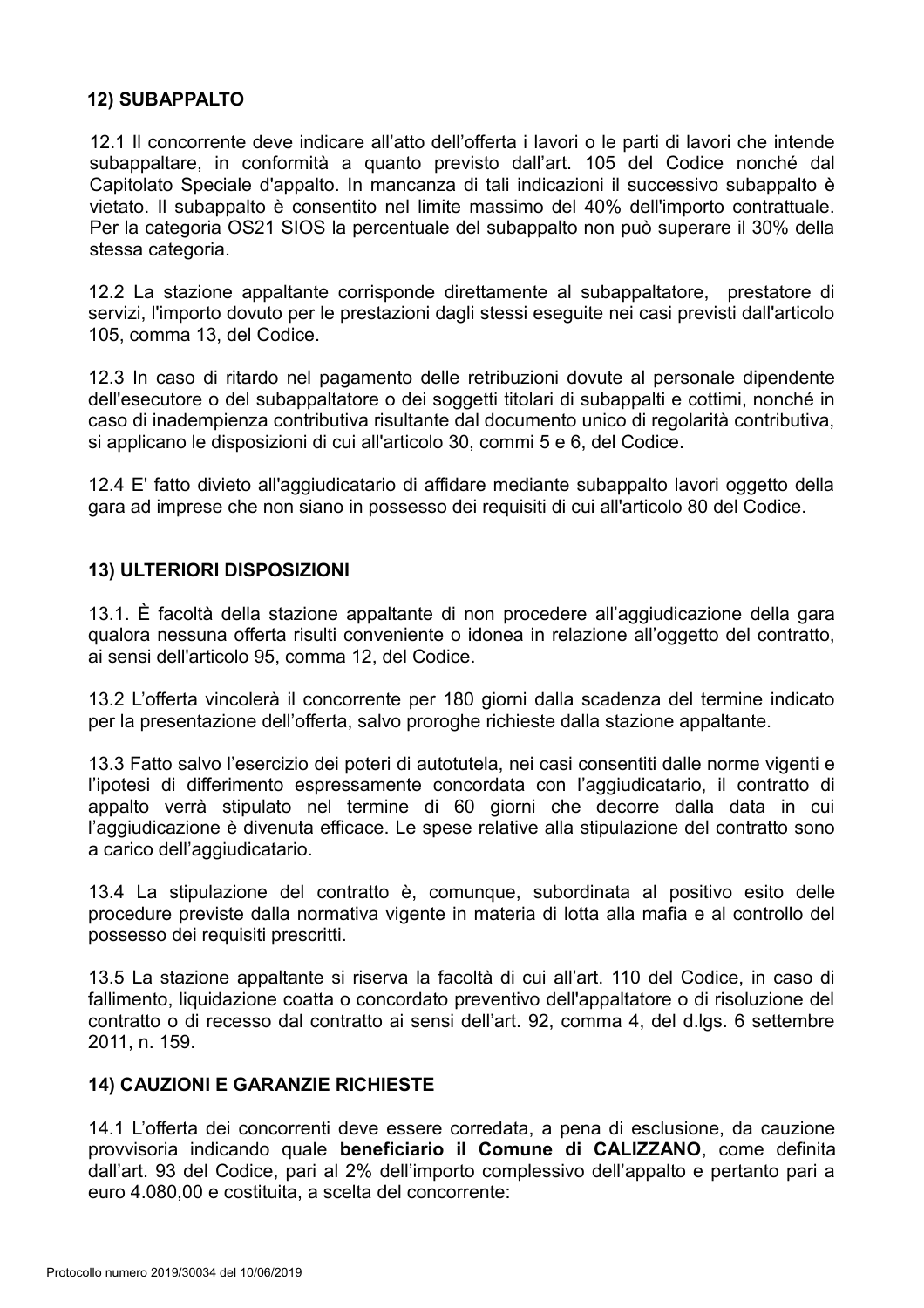#### **12) SUBAPPALTO**

12.1 Il concorrente deve indicare all'atto dell'offerta i lavori o le parti di lavori che intende subappaltare, in conformità a quanto previsto dall'art. 105 del Codice nonché dal Capitolato Speciale d'appalto. In mancanza di tali indicazioni il successivo subappalto è vietato. Il subappalto è consentito nel limite massimo del 40% dell'importo contrattuale. Per la categoria OS21 SIOS la percentuale del subappalto non può superare il 30% della stessa categoria.

12.2 La stazione appaltante corrisponde direttamente al subappaltatore, prestatore di servizi, l'importo dovuto per le prestazioni dagli stessi eseguite nei casi previsti dall'articolo 105. comma 13. del Codice.

12.3 In caso di ritardo nel pagamento delle retribuzioni dovute al personale dipendente dell'esecutore o del subappaltatore o dei soggetti titolari di subappalti e cottimi, nonché in caso di inadempienza contributiva risultante dal documento unico di regolarità contributiva, si applicano le disposizioni di cui all'articolo 30, commi 5 e 6, del Codice.

12.4 E' fatto divieto all'aggiudicatario di affidare mediante subappalto lavori oggetto della gara ad imprese che non siano in possesso dei requisiti di cui all'articolo 80 del Codice.

#### **13) ULTERIORI DISPOSIZIONI**

13.1. È facoltà della stazione appaltante di non procedere all'aggiudicazione della gara gualora nessuna offerta risulti conveniente o idonea in relazione all'oggetto del contratto. ai sensi dell'articolo 95, comma 12, del Codice.

13.2 L'offerta vincolerà il concorrente per 180 giorni dalla scadenza del termine indicato per la presentazione dell'offerta, salvo proroghe richieste dalla stazione appaltante.

13.3 Fatto salvo l'esercizio dei poteri di autotutela, nei casi consentiti dalle norme vigenti e l'ipotesi di differimento espressamente concordata con l'aggiudicatario, il contratto di appalto verrà stipulato nel termine di 60 giorni che decorre dalla data in cui l'aggiudicazione è divenuta efficace. Le spese relative alla stipulazione del contratto sono a carico dell'aggiudicatario.

13.4 La stipulazione del contratto è, comungue, subordinata al positivo esito delle procedure previste dalla normativa vigente in materia di lotta alla mafia e al controllo del possesso dei requisiti prescritti.

13.5 La stazione appaltante si riserva la facoltà di cui all'art. 110 del Codice, in caso di fallimento, liquidazione coatta o concordato preventivo dell'appaltatore o di risoluzione del contratto o di recesso dal contratto ai sensi dell'art. 92, comma 4, del d.lgs. 6 settembre 2011, n. 159.

#### **14) CAUZIONI E GARANZIE RICHIESTE**

14.1 L'offerta dei concorrenti deve essere corredata, a pena di esclusione, da cauzione provvisoria indicando quale beneficiario il Comune di CALIZZANO, come definita dall'art. 93 del Codice, pari al 2% dell'importo complessivo dell'appalto e pertanto pari a euro 4.080.00 e costituita, a scelta del concorrente: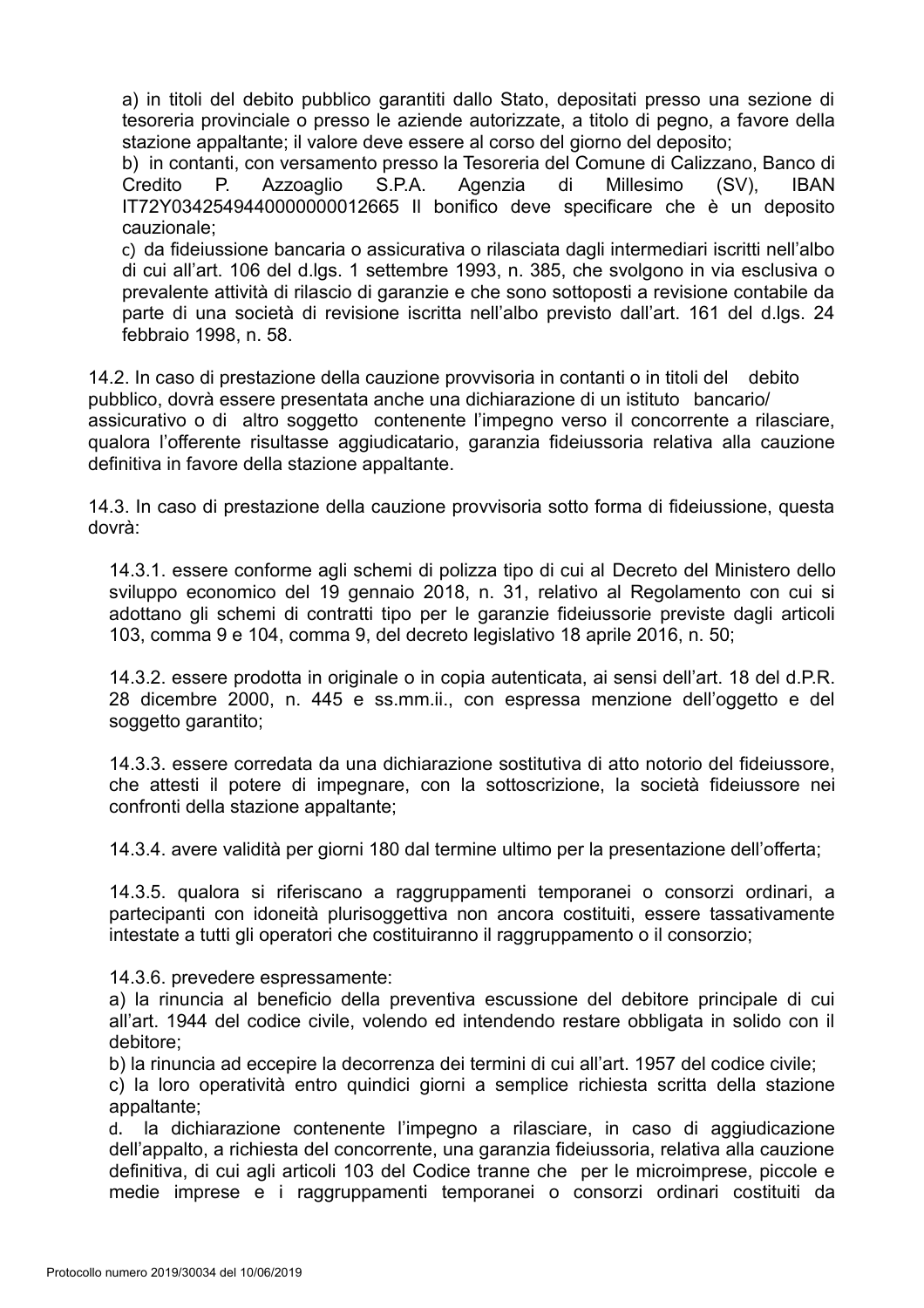a) in titoli del debito pubblico garantiti dallo Stato, depositati presso una sezione di tesoreria provinciale o presso le aziende autorizzate, a titolo di pegno, a favore della stazione appaltante; il valore deve essere al corso del giorno del deposito;

b) in contanti, con versamento presso la Tesoreria del Comune di Calizzano, Banco di Credito  $P_{\cdot}$ Azzoaglio  $S.P.A.$ Agenzia di Millesimo  $(SV)$ . **IBAN** IT72Y0342549440000000012665 Il bonifico deve specificare che è un deposito cauzionale:

c) da fideiussione bancaria o assicurativa o rilasciata dagli intermediari iscritti nell'albo di cui all'art. 106 del d.lgs. 1 settembre 1993, n. 385, che svolgono in via esclusiva o prevalente attività di rilascio di garanzie e che sono sottoposti a revisione contabile da parte di una società di revisione iscritta nell'albo previsto dall'art. 161 del d.lgs. 24 febbraio 1998. n. 58.

14.2. In caso di prestazione della cauzione provvisoria in contanti o in titoli del debito pubblico, dovrà essere presentata anche una dichiarazione di un istituto bancario/ assicurativo o di altro soggetto contenente l'impegno verso il concorrente a rilasciare, qualora l'offerente risultasse aggiudicatario, garanzia fideiussoria relativa alla cauzione definitiva in favore della stazione appaltante.

14.3. In caso di prestazione della cauzione provvisoria sotto forma di fideiussione, questa dovrà<sup>-</sup>

14.3.1, essere conforme agli schemi di polizza tipo di cui al Decreto del Ministero dello sviluppo economico del 19 gennaio 2018, n. 31, relativo al Regolamento con cui si adottano gli schemi di contratti tipo per le garanzie fideiussorie previste dagli articoli 103, comma 9 e 104, comma 9, del decreto legislativo 18 aprile 2016, n. 50;

14.3.2. essere prodotta in originale o in copia autenticata, ai sensi dell'art. 18 del d.P.R. 28 dicembre 2000, n. 445 e ss.mm.ii., con espressa menzione dell'oggetto e del soggetto garantito;

14.3.3. essere corredata da una dichiarazione sostitutiva di atto notorio del fideiussore. che attesti il potere di impegnare, con la sottoscrizione, la società fideiussore nei confronti della stazione appaltante;

14.3.4, avere validità per giorni 180 dal termine ultimo per la presentazione dell'offerta;

14.3.5. qualora si riferiscano a raggruppamenti temporanei o consorzi ordinari, a partecipanti con idoneità plurisoggettiva non ancora costituiti, essere tassativamente intestate a tutti gli operatori che costituiranno il raggruppamento o il consorzio;

14.3.6. prevedere espressamente:

a) la rinuncia al beneficio della preventiva escussione del debitore principale di cui all'art. 1944 del codice civile, volendo ed intendendo restare obbligata in solido con il debitore:

b) la rinuncia ad eccepire la decorrenza dei termini di cui all'art. 1957 del codice civile:

c) la loro operatività entro quindici giorni a semplice richiesta scritta della stazione appaltante:

la dichiarazione contenente l'impegno a rilasciare, in caso di aggiudicazione  $d_{\cdot}$ dell'appalto, a richiesta del concorrente, una garanzia fideiussoria, relativa alla cauzione definitiva, di cui agli articoli 103 del Codice tranne che per le microimprese, piccole e medie imprese e i raggruppamenti temporanei o consorzi ordinari costituiti da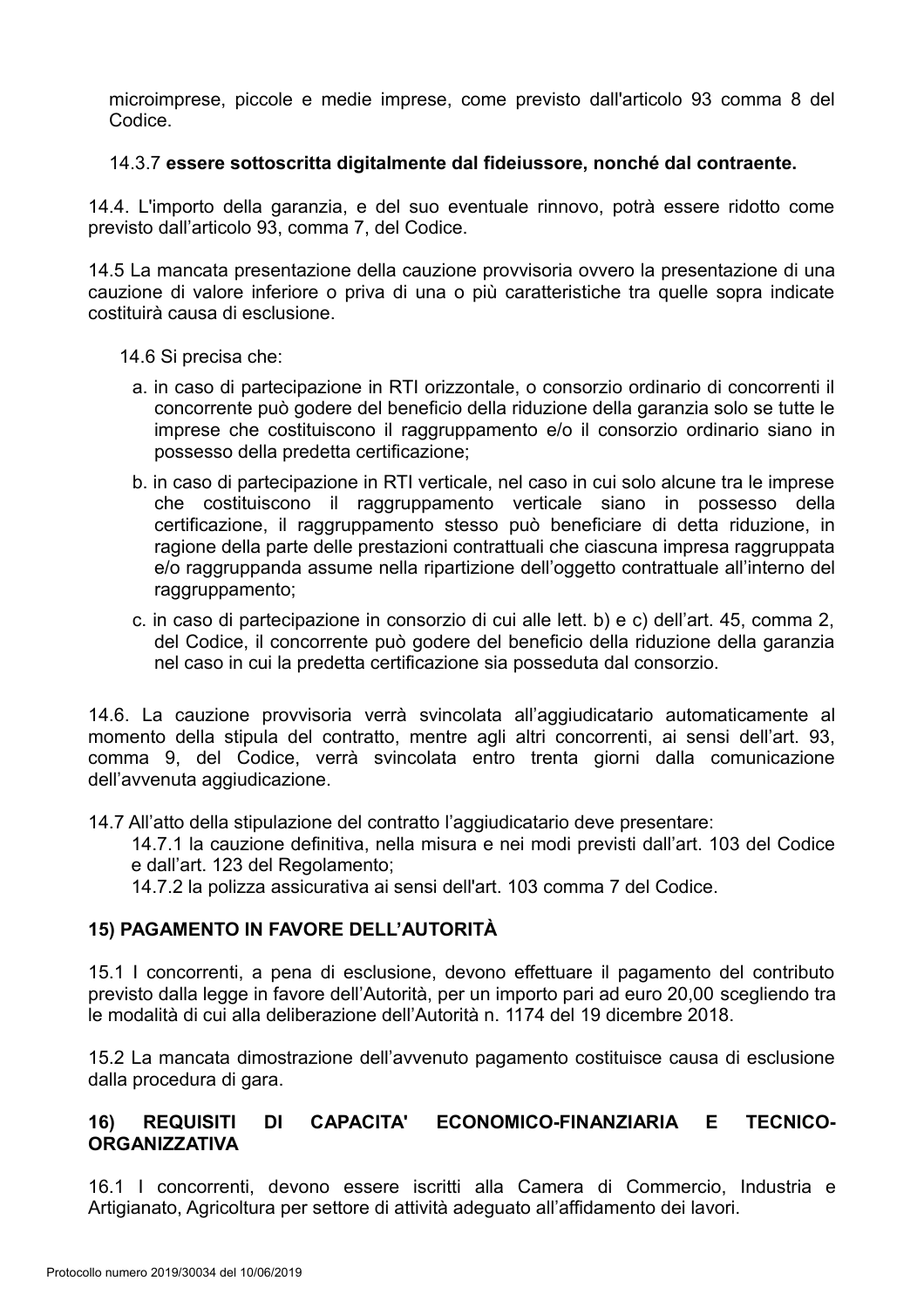microimprese, piccole e medie imprese, come previsto dall'articolo 93 comma 8 del Codice.

#### 14.3.7 essere sottoscritta digitalmente dal fideiussore, nonché dal contraente.

14.4. L'importo della garanzia, e del suo eventuale rinnovo, potrà essere ridotto come previsto dall'articolo 93, comma 7, del Codice.

14.5 La mancata presentazione della cauzione provvisoria ovvero la presentazione di una cauzione di valore inferiore o priva di una o più caratteristiche tra quelle sopra indicate costituirà causa di esclusione.

14.6 Si precisa che:

- a. in caso di partecipazione in RTI orizzontale, o consorzio ordinario di concorrenti il concorrente può godere del beneficio della riduzione della garanzia solo se tutte le imprese che costituiscono il raggruppamento e/o il consorzio ordinario siano in possesso della predetta certificazione;
- b. in caso di partecipazione in RTI verticale, nel caso in cui solo alcune tra le imprese che costituiscono il raggruppamento verticale siano in possesso della certificazione, il raggruppamento stesso può beneficiare di detta riduzione, in ragione della parte delle prestazioni contrattuali che ciascuna impresa raggruppata e/o raggruppanda assume nella ripartizione dell'oggetto contrattuale all'interno del raggruppamento;
- c. in caso di partecipazione in consorzio di cui alle lett. b) e c) dell'art. 45, comma 2, del Codice, il concorrente può godere del beneficio della riduzione della garanzia nel caso in cui la predetta certificazione sia posseduta dal consorzio.

14.6. La cauzione provvisoria verrà svincolata all'aggiudicatario automaticamente al momento della stipula del contratto, mentre agli altri concorrenti, ai sensi dell'art. 93, comma 9, del Codice, verrà svincolata entro trenta giorni dalla comunicazione dell'avvenuta aggiudicazione.

14.7 All'atto della stipulazione del contratto l'aggiudicatario deve presentare:

14.7.1 la cauzione definitiva, nella misura e nei modi previsti dall'art. 103 del Codice e dall'art. 123 del Regolamento:

14.7.2 la polizza assicurativa ai sensi dell'art. 103 comma 7 del Codice.

#### 15) PAGAMENTO IN FAVORE DELL'AUTORITÀ

15.1 I concorrenti, a pena di esclusione, devono effettuare il pagamento del contributo previsto dalla legge in favore dell'Autorità, per un importo pari ad euro 20,00 scegliendo tra le modalità di cui alla deliberazione dell'Autorità n. 1174 del 19 dicembre 2018.

15.2 La mancata dimostrazione dell'avvenuto pagamento costituisce causa di esclusione dalla procedura di gara.

#### **DI** CAPACITA' ECONOMICO-FINANZIARIA F. **TFCNICO-** $16)$ **REQUISITI ORGANIZZATIVA**

16.1 I concorrenti, devono essere iscritti alla Camera di Commercio, Industria e Artigianato, Agricoltura per settore di attività adeguato all'affidamento dei lavori.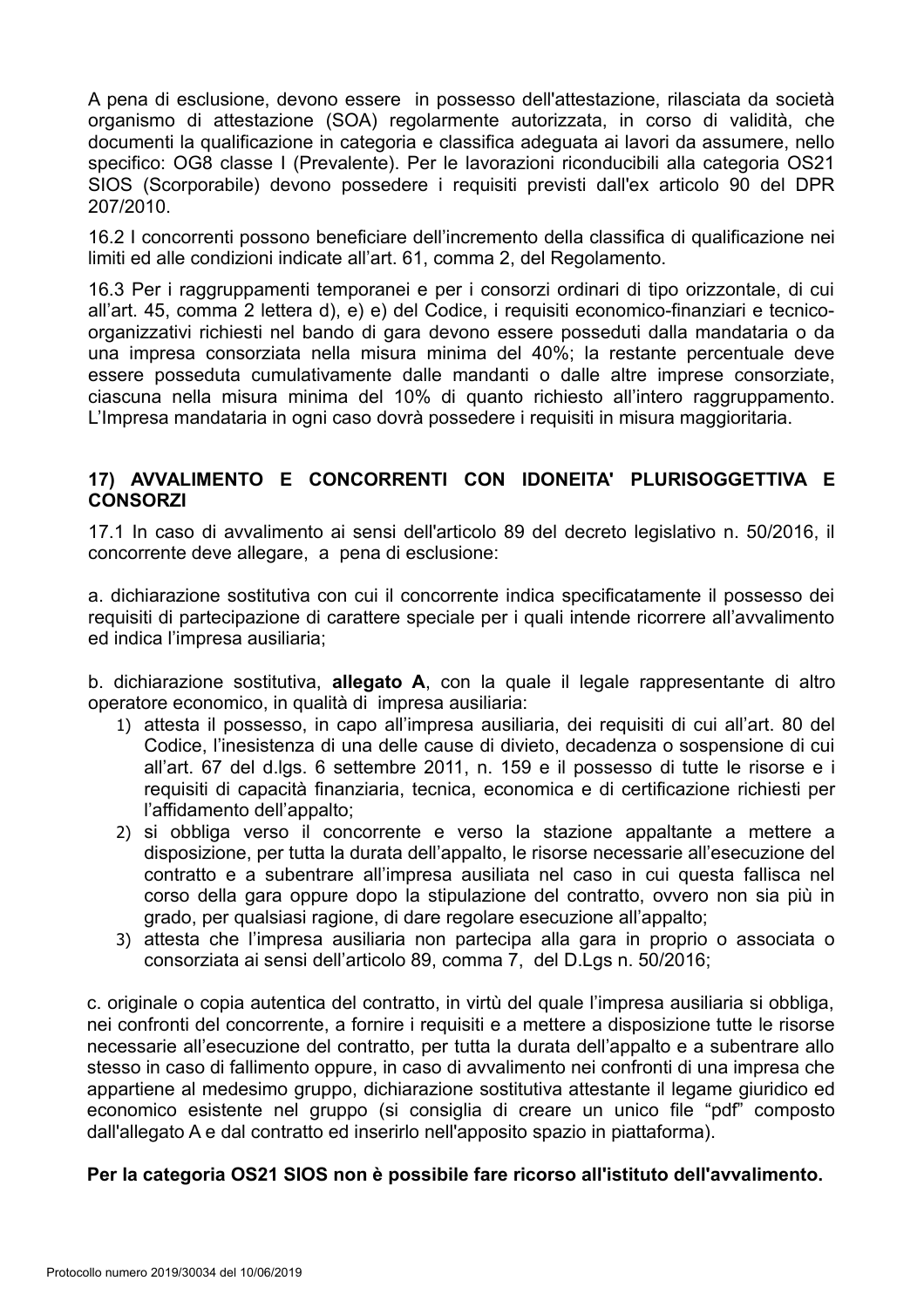A pena di esclusione, devono essere in possesso dell'attestazione, rilasciata da società organismo di attestazione (SOA) regolarmente autorizzata, in corso di validità, che documenti la qualificazione in categoria e classifica adeguata ai lavori da assumere, nello specifico: OG8 classe I (Prevalente). Per le lavorazioni riconducibili alla categoria OS21 SIOS (Scorporabile) devono possedere i requisiti previsti dall'ex articolo 90 del DPR 207/2010.

16.2 I concorrenti possono beneficiare dell'incremento della classifica di qualificazione nei limiti ed alle condizioni indicate all'art. 61, comma 2, del Regolamento.

16.3 Per i raggruppamenti temporanei e per i consorzi ordinari di tipo orizzontale, di cui all'art. 45, comma 2 lettera d), e) e) del Codice, i requisiti economico-finanziari e tecnicoorganizzativi richiesti nel bando di gara devono essere posseduti dalla mandataria o da una impresa consorziata nella misura minima del 40%; la restante percentuale deve essere posseduta cumulativamente dalle mandanti o dalle altre imprese consorziate, ciascuna nella misura minima del 10% di quanto richiesto all'intero raggruppamento. L'Impresa mandataria in ogni caso dovrà possedere i requisiti in misura maggioritaria.

#### 17) AVVALIMENTO E CONCORRENTI CON IDONEITA' PLURISOGGETTIVA E **CONSORZI**

17.1 In caso di avvalimento ai sensi dell'articolo 89 del decreto legislativo n. 50/2016, il concorrente deve allegare, a pena di esclusione:

a. dichiarazione sostitutiva con cui il concorrente indica specificatamente il possesso dei requisiti di partecipazione di carattere speciale per i quali intende ricorrere all'avvalimento ed indica l'impresa ausiliaria;

b. dichiarazione sostitutiva, allegato A, con la quale il legale rappresentante di altro operatore economico, in qualità di impresa ausiliaria:

- 1) attesta il possesso, in capo all'impresa ausiliaria, dei requisiti di cui all'art. 80 del Codice, l'inesistenza di una delle cause di divieto, decadenza o sospensione di cui all'art. 67 del d.lgs. 6 settembre 2011, n. 159 e il possesso di tutte le risorse e i requisiti di capacità finanziaria, tecnica, economica e di certificazione richiesti per l'affidamento dell'appalto:
- 2) si obbliga verso il concorrente e verso la stazione appaltante a mettere a disposizione, per tutta la durata dell'appalto, le risorse necessarie all'esecuzione del contratto e a subentrare all'impresa ausiliata nel caso in cui questa fallisca nel corso della gara oppure dopo la stipulazione del contratto, ovvero non sia più in grado, per qualsiasi ragione, di dare regolare esecuzione all'appalto;
- 3) attesta che l'impresa ausiliaria non partecipa alla gara in proprio o associata o consorziata ai sensi dell'articolo 89, comma 7, del D.Lgs n. 50/2016;

c. originale o copia autentica del contratto, in virtù del quale l'impresa ausiliaria si obbliga, nei confronti del concorrente, a fornire i requisiti e a mettere a disposizione tutte le risorse necessarie all'esecuzione del contratto, per tutta la durata dell'appalto e a subentrare allo stesso in caso di fallimento oppure, in caso di avvalimento nei confronti di una impresa che appartiene al medesimo gruppo, dichiarazione sostitutiva attestante il legame giuridico ed economico esistente nel gruppo (si consiglia di creare un unico file "pdf" composto dall'allegato A e dal contratto ed inserirlo nell'apposito spazio in piattaforma).

#### Per la categoria OS21 SIOS non è possibile fare ricorso all'istituto dell'avvalimento.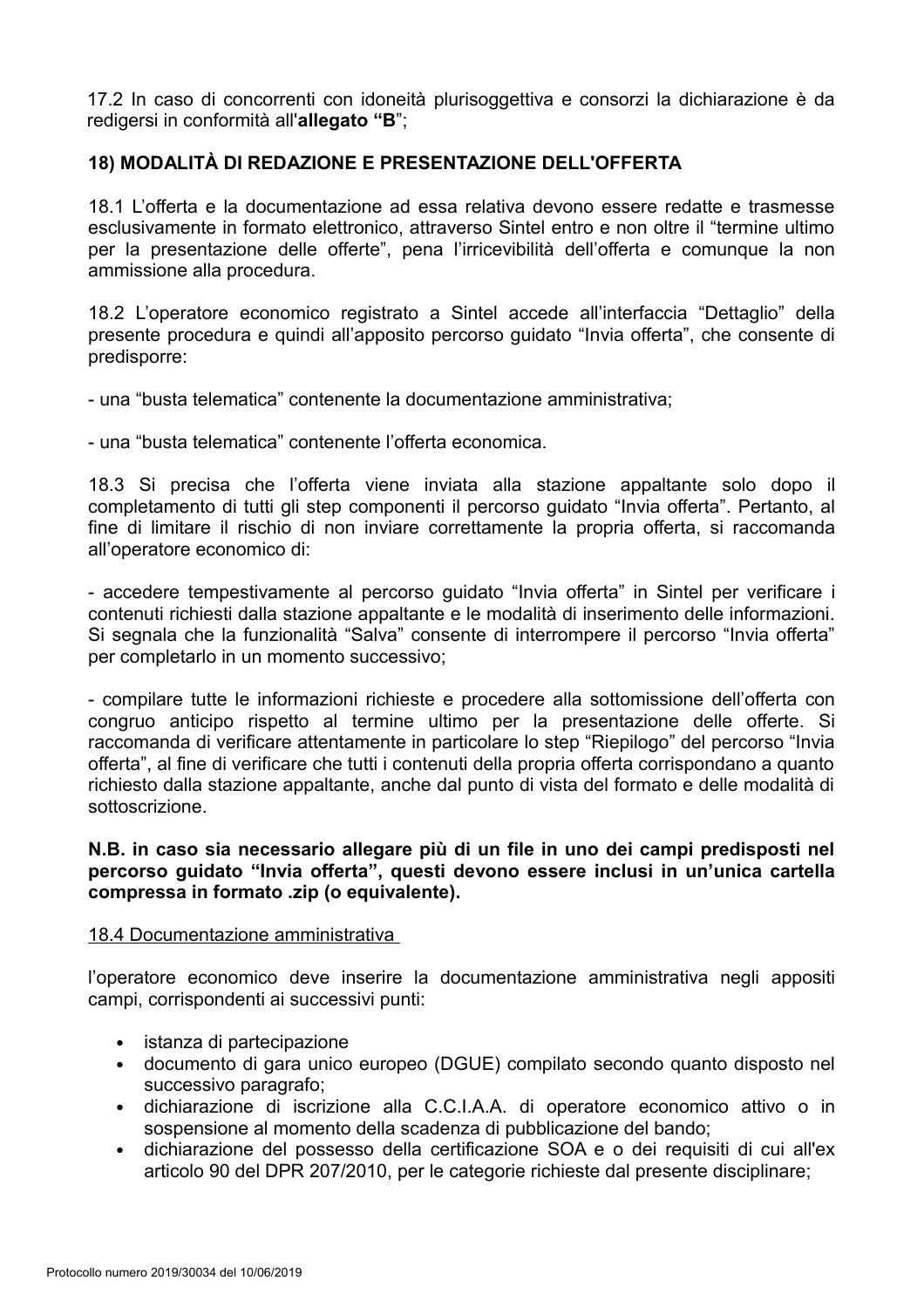17.2 In caso di concorrenti con idoneità plurisoggettiva e consorzi la dichiarazione è da redigersi in conformità all'allegato "B";

## 18) MODALITÀ DI REDAZIONE E PRESENTAZIONE DELL'OFFERTA

18.1 L'offerta e la documentazione ad essa relativa devono essere redatte e trasmesse esclusivamente in formato elettronico, attraverso Sintel entro e non oltre il "termine ultimo" per la presentazione delle offerte", pena l'irricevibilità dell'offerta e comunque la non ammissione alla procedura.

18.2 L'operatore economico registrato a Sintel accede all'interfaccia "Dettaglio" della presente procedura e quindi all'apposito percorso quidato "Invia offerta", che consente di predisporre:

- una "busta telematica" contenente la documentazione amministrativa:

- una "busta telematica" contenente l'offerta economica.

18.3 Si precisa che l'offerta viene inviata alla stazione appaltante solo dopo il completamento di tutti gli step componenti il percorso guidato "Invia offerta". Pertanto, al fine di limitare il rischio di non inviare correttamente la propria offerta, si raccomanda all'operatore economico di:

- accedere tempestivamente al percorso quidato "Invia offerta" in Sintel per verificare i contenuti richiesti dalla stazione appaltante e le modalità di inserimento delle informazioni. Si segnala che la funzionalità "Salva" consente di interrompere il percorso "Invia offerta" per completarlo in un momento successivo;

- compilare tutte le informazioni richieste e procedere alla sottomissione dell'offerta con congruo anticipo rispetto al termine ultimo per la presentazione delle offerte. Si raccomanda di verificare attentamente in particolare lo step "Riepilogo" del percorso "Invia offerta", al fine di verificare che tutti i contenuti della propria offerta corrispondano a quanto richiesto dalla stazione appaltante, anche dal punto di vista del formato e delle modalità di sottoscrizione.

#### N.B. in caso sia necessario allegare più di un file in uno dei campi predisposti nel percorso guidato "Invia offerta", questi devono essere inclusi in un'unica cartella compressa in formato .zip (o equivalente).

#### 18.4 Documentazione amministrativa

l'operatore economico deve inserire la documentazione amministrativa negli appositi campi, corrispondenti ai successivi punti:

- istanza di partecipazione
- documento di gara unico europeo (DGUE) compilato secondo quanto disposto nel successivo paragrafo:
- · dichiarazione di iscrizione alla C.C.I.A.A. di operatore economico attivo o in sospensione al momento della scadenza di pubblicazione del bando;
- dichiarazione del possesso della certificazione SOA e o dei requisiti di cui all'ex  $\bullet$ articolo 90 del DPR 207/2010, per le categorie richieste dal presente disciplinare;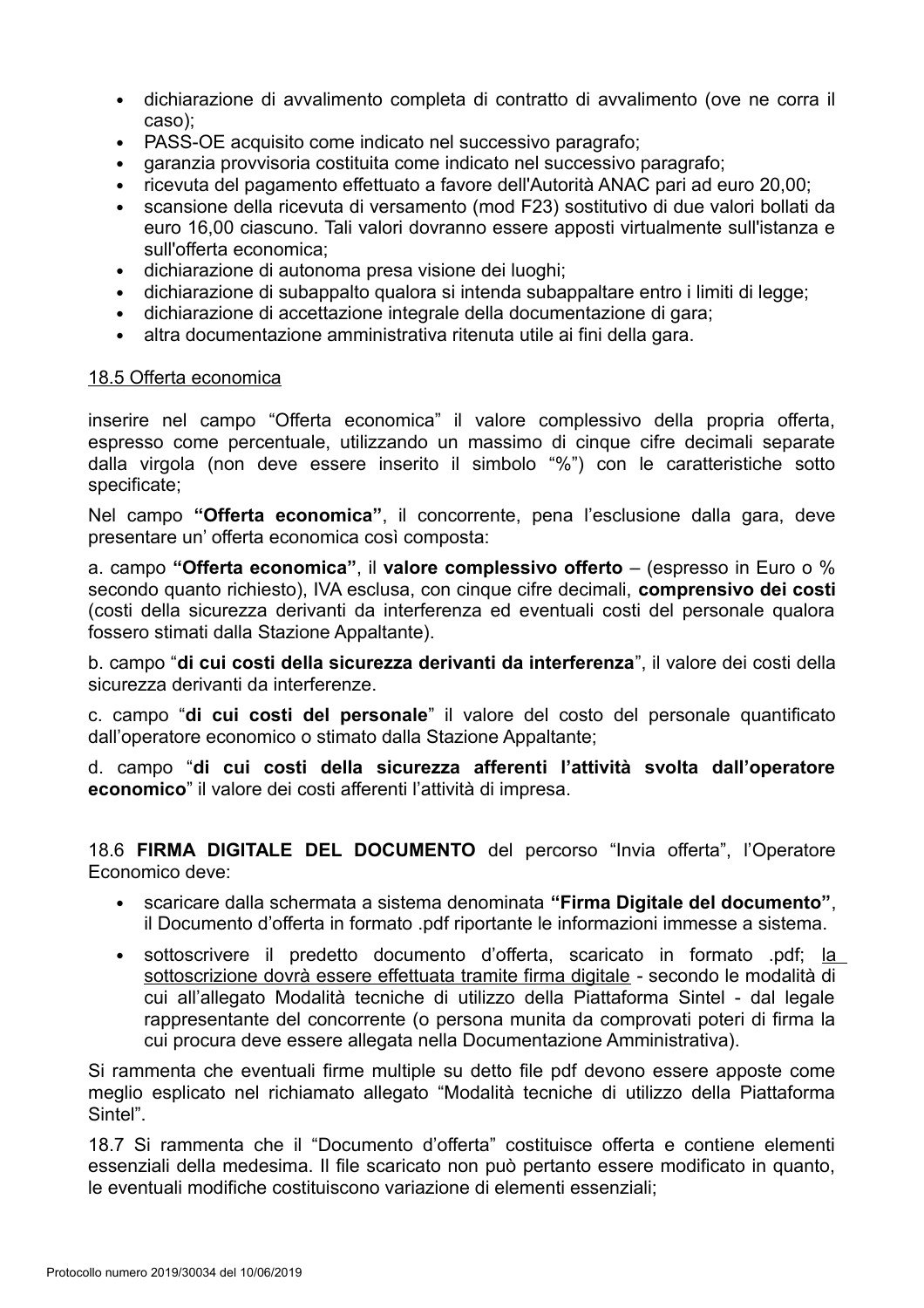- dichiarazione di avvalimento completa di contratto di avvalimento (ove ne corra il  $\bullet$ caso);
- PASS-OE acquisito come indicato nel successivo paragrafo;  $\bullet$
- garanzia provvisoria costituita come indicato nel successivo paragrafo:
- ricevuta del pagamento effettuato a favore dell'Autorità ANAC pari ad euro 20.00:  $\bullet$
- scansione della ricevuta di versamento (mod F23) sostitutivo di due valori bollati da euro 16,00 ciascuno. Tali valori dovranno essere apposti virtualmente sull'istanza e sull'offerta economica:
- dichiarazione di autonoma presa visione dei luoghi;  $\bullet$
- dichiarazione di subappalto qualora si intenda subappaltare entro i limiti di legge:
- dichiarazione di accettazione integrale della documentazione di gara;  $\bullet$
- altra documentazione amministrativa ritenuta utile ai fini della gara.  $\bullet$

#### 18.5 Offerta economica

inserire nel campo "Offerta economica" il valore complessivo della propria offerta, espresso come percentuale, utilizzando un massimo di cinque cifre decimali separate dalla virgola (non deve essere inserito il simbolo "%") con le caratteristiche sotto specificate:

Nel campo "Offerta economica", il concorrente, pena l'esclusione dalla gara, deve presentare un' offerta economica così composta:

a. campo "Offerta economica", il valore complessivo offerto  $-$  (espresso in Euro o % secondo quanto richiesto), IVA esclusa, con cinque cifre decimali, comprensivo dei costi (costi della sicurezza derivanti da interferenza ed eventuali costi del personale qualora fossero stimati dalla Stazione Appaltante).

b. campo "di cui costi della sicurezza derivanti da interferenza", il valore dei costi della sicurezza derivanti da interferenze.

c. campo "di cui costi del personale" il valore del costo del personale quantificato dall'operatore economico o stimato dalla Stazione Appaltante;

d. campo "di cui costi della sicurezza afferenti l'attività svolta dall'operatore economico" il valore dei costi afferenti l'attività di impresa.

18.6 FIRMA DIGITALE DEL DOCUMENTO del percorso "Invia offerta", l'Operatore Economico deve:

- scaricare dalla schermata a sistema denominata "Firma Digitale del documento". il Documento d'offerta in formato .pdf riportante le informazioni immesse a sistema.
- sottoscrivere il predetto documento d'offerta, scaricato in formato pdf; la  $\bullet$ sottoscrizione dovrà essere effettuata tramite firma digitale - secondo le modalità di cui all'allegato Modalità tecniche di utilizzo della Piattaforma Sintel - dal legale rappresentante del concorrente (o persona munita da comprovati poteri di firma la cui procura deve essere allegata nella Documentazione Amministrativa).

Si rammenta che eventuali firme multiple su detto file pdf devono essere apposte come meglio esplicato nel richiamato allegato "Modalità tecniche di utilizzo della Piattaforma Sintel".

18.7 Si rammenta che il "Documento d'offerta" costituisce offerta e contiene elementi essenziali della medesima. Il file scaricato non può pertanto essere modificato in quanto. le eventuali modifiche costituiscono variazione di elementi essenziali: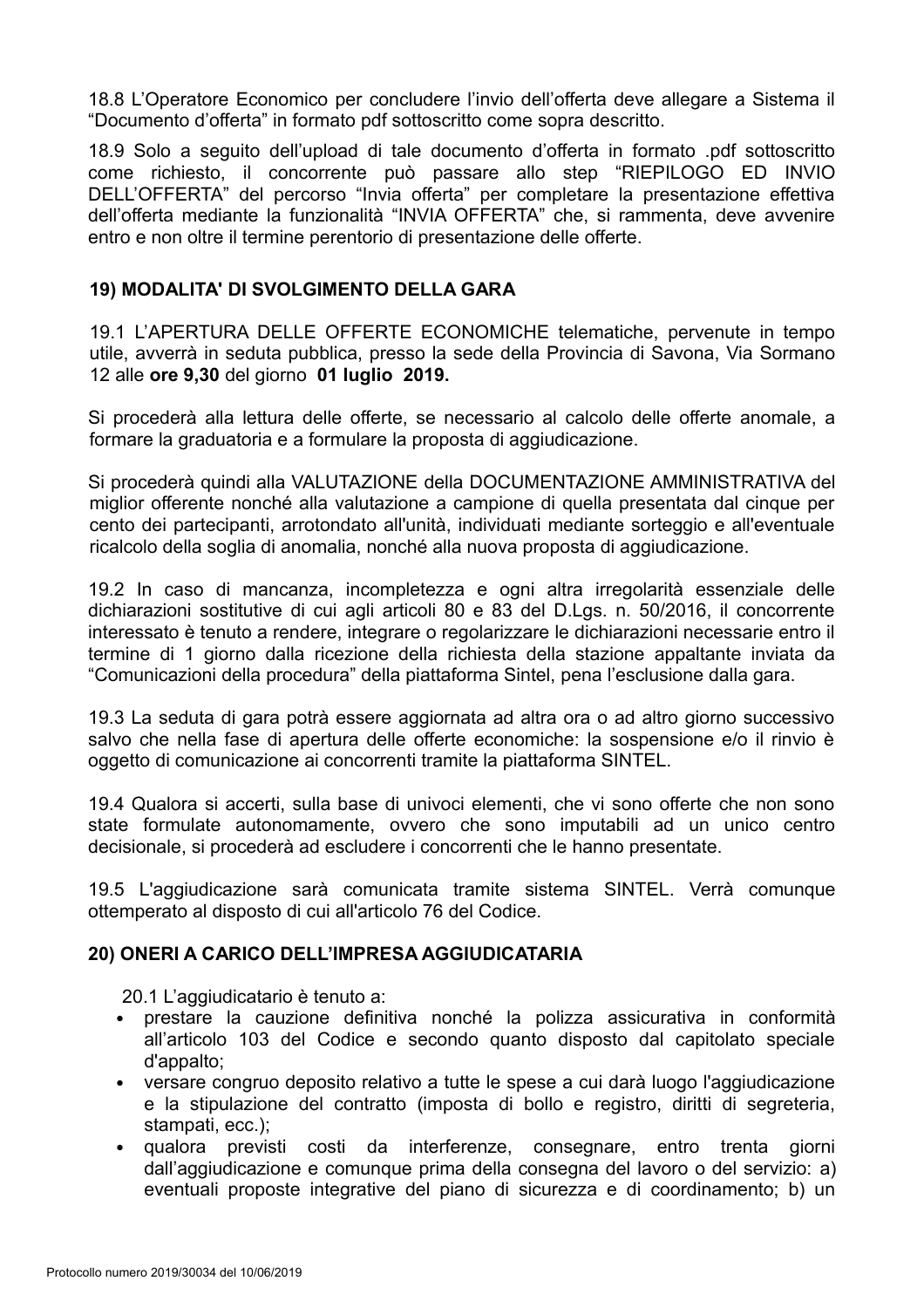18.8 L'Operatore Economico per concludere l'invio dell'offerta deve allegare a Sistema il "Documento d'offerta" in formato pdf sottoscritto come sopra descritto.

18.9 Solo a seguito dell'upload di tale documento d'offerta in formato .pdf sottoscritto come richiesto, il concorrente può passare allo step "RIEPILOGO ED INVIO DELL'OFFERTA" del percorso "Invia offerta" per completare la presentazione effettiva dell'offerta mediante la funzionalità "INVIA OFFERTA" che, si rammenta, deve avvenire entro e non oltre il termine perentorio di presentazione delle offerte.

#### 19) MODALITA' DI SVOLGIMENTO DELLA GARA

19.1 L'APERTURA DELLE OFFERTE ECONOMICHE telematiche, pervenute in tempo utile, avverrà in seduta pubblica, presso la sede della Provincia di Savona, Via Sormano 12 alle ore 9,30 del giorno 01 luglio 2019.

Si procederà alla lettura delle offerte, se necessario al calcolo delle offerte anomale, a formare la graduatoria e a formulare la proposta di aggiudicazione.

Si procederà quindi alla VALUTAZIONE della DOCUMENTAZIONE AMMINISTRATIVA del miglior offerente nonché alla valutazione a campione di quella presentata dal cinque per cento dei partecipanti, arrotondato all'unità, individuati mediante sorteggio e all'eventuale ricalcolo della soglia di anomalia, nonché alla nuova proposta di aggiudicazione.

19.2 In caso di mancanza, incompletezza e ogni altra irregolarità essenziale delle dichiarazioni sostitutive di cui agli articoli 80 e 83 del D.Lgs. n. 50/2016, il concorrente interessato è tenuto a rendere, integrare o regolarizzare le dichiarazioni necessarie entro il termine di 1 giorno dalla ricezione della richiesta della stazione appaltante inviata da "Comunicazioni della procedura" della piattaforma Sintel, pena l'esclusione dalla gara.

19.3 La seduta di gara potrà essere aggiornata ad altra ora o ad altro giorno successivo salvo che nella fase di apertura delle offerte economiche: la sospensione e/o il rinvio è oggetto di comunicazione ai concorrenti tramite la piattaforma SINTEL.

19.4 Qualora si accerti, sulla base di univoci elementi, che vi sono offerte che non sono state formulate autonomamente, ovvero che sono imputabili ad un unico centro decisionale, si procederà ad escludere i concorrenti che le hanno presentate.

19.5 L'aggiudicazione sarà comunicata tramite sistema SINTEL. Verrà comunque ottemperato al disposto di cui all'articolo 76 del Codice.

#### 20) ONERI A CARICO DELL'IMPRESA AGGIUDICATARIA

20.1 L'aggiudicatario è tenuto a:

- · prestare la cauzione definitiva nonché la polizza assicurativa in conformità all'articolo 103 del Codice e secondo quanto disposto dal capitolato speciale d'appalto:
- versare congruo deposito relativo a tutte le spese a cui darà luogo l'aggiudicazione  $\bullet$ e la stipulazione del contratto (imposta di bollo e registro, diritti di segreteria, stampati, ecc.);
- $\bullet$ qualora previsti costi da interferenze, consegnare, entro trenta giorni dall'aggiudicazione e comunque prima della consegna del lavoro o del servizio: a) eventuali proposte integrative del piano di sicurezza e di coordinamento; b) un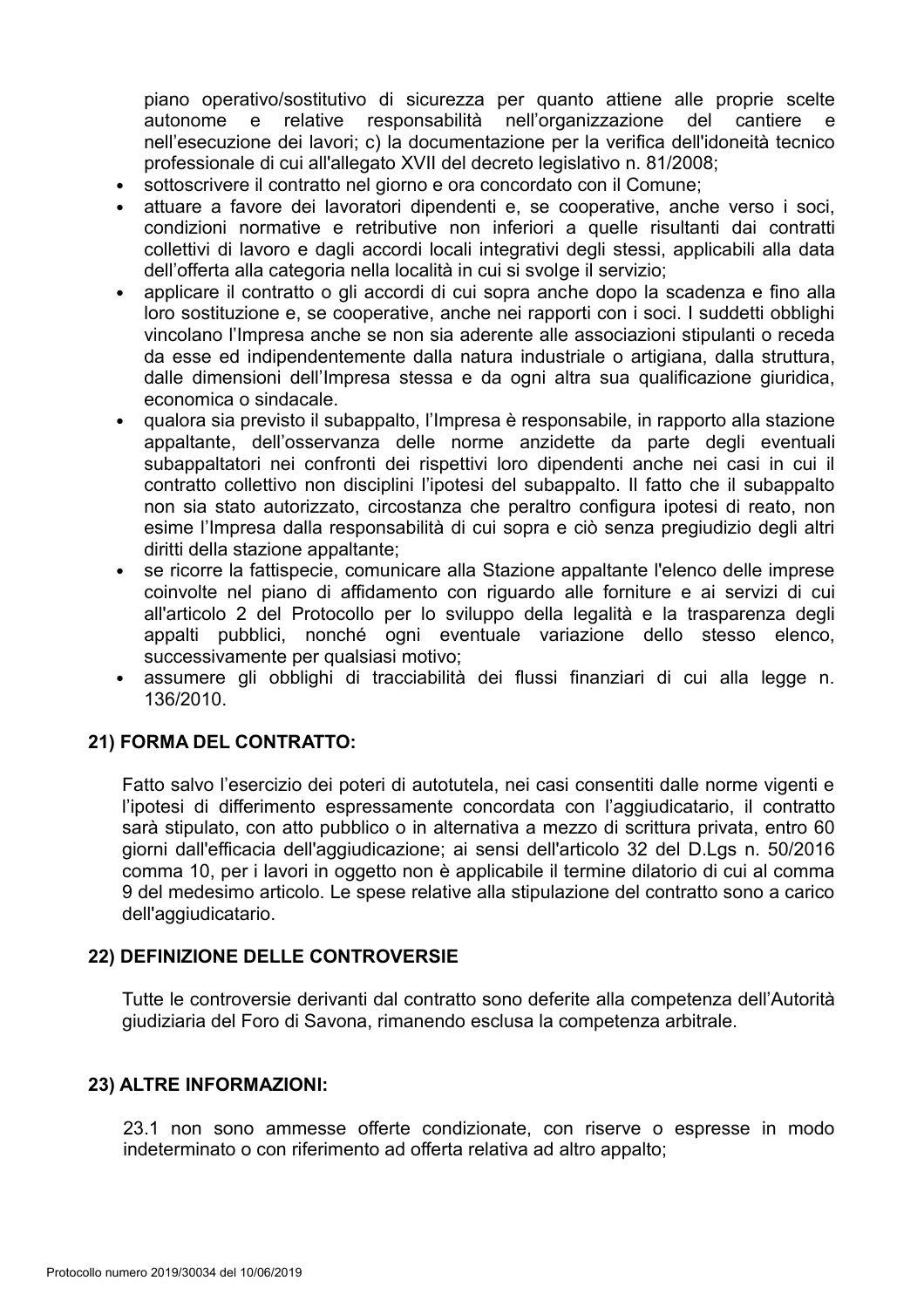piano operativo/sostitutivo di sicurezza per quanto attiene alle proprie scelte autonome e relative responsabilità nell'organizzazione del cantiere  $\mathbf{e}$ nell'esecuzione dei lavori; c) la documentazione per la verifica dell'idoneità tecnico professionale di cui all'allegato XVII del decreto legislativo n. 81/2008;

- sottoscrivere il contratto nel giorno e ora concordato con il Comune:  $\bullet$
- attuare a favore dei lavoratori dipendenti e, se cooperative, anche verso i soci, condizioni normative e retributive non inferiori a quelle risultanti dai contratti collettivi di lavoro e dagli accordi locali integrativi degli stessi, applicabili alla data dell'offerta alla categoria nella località in cui si svolge il servizio;
- applicare il contratto o gli accordi di cui sopra anche dopo la scadenza e fino alla loro sostituzione e, se cooperative, anche nei rapporti con i soci. I suddetti obblighi vincolano l'Impresa anche se non sia aderente alle associazioni stipulanti o receda da esse ed indipendentemente dalla natura industriale o artigiana, dalla struttura, dalle dimensioni dell'Impresa stessa e da ogni altra sua qualificazione giuridica, economica o sindacale.
- qualora sia previsto il subappalto, l'Impresa è responsabile, in rapporto alla stazione  $\bullet$ appaltante, dell'osservanza delle norme anzidette da parte degli eventuali subappaltatori nei confronti dei rispettivi loro dipendenti anche nei casi in cui il contratto collettivo non disciplini l'ipotesi del subappalto. Il fatto che il subappalto non sia stato autorizzato, circostanza che peraltro configura ipotesi di reato, non esime l'Impresa dalla responsabilità di cui sopra e ciò senza pregiudizio degli altri diritti della stazione appaltante:
- se ricorre la fattispecie, comunicare alla Stazione appaltante l'elenco delle imprese coinvolte nel piano di affidamento con riguardo alle forniture e ai servizi di cui all'articolo 2 del Protocollo per lo sviluppo della legalità e la trasparenza degli appalti pubblici, nonché ogni eventuale variazione dello stesso elenco. successivamente per qualsiasi motivo;
- assumere gli obblighi di tracciabilità dei flussi finanziari di cui alla legge n.  $\bullet$ 136/2010.

#### 21) FORMA DEL CONTRATTO:

Fatto salvo l'esercizio dei poteri di autotutela, nei casi consentiti dalle norme vigenti e l'ipotesi di differimento espressamente concordata con l'aggiudicatario, il contratto sarà stipulato, con atto pubblico o in alternativa a mezzo di scrittura privata, entro 60 giorni dall'efficacia dell'aggiudicazione; ai sensi dell'articolo 32 del D.Lgs n. 50/2016 comma 10, per i lavori in oggetto non è applicabile il termine dilatorio di cui al comma 9 del medesimo articolo. Le spese relative alla stipulazione del contratto sono a carico dell'aggiudicatario.

#### 22) DEFINIZIONE DELLE CONTROVERSIE

Tutte le controversie derivanti dal contratto sono deferite alla competenza dell'Autorità giudiziaria del Foro di Savona, rimanendo esclusa la competenza arbitrale.

#### 23) ALTRE INFORMAZIONI:

23.1 non sono ammesse offerte condizionate, con riserve o espresse in modo indeterminato o con riferimento ad offerta relativa ad altro appalto: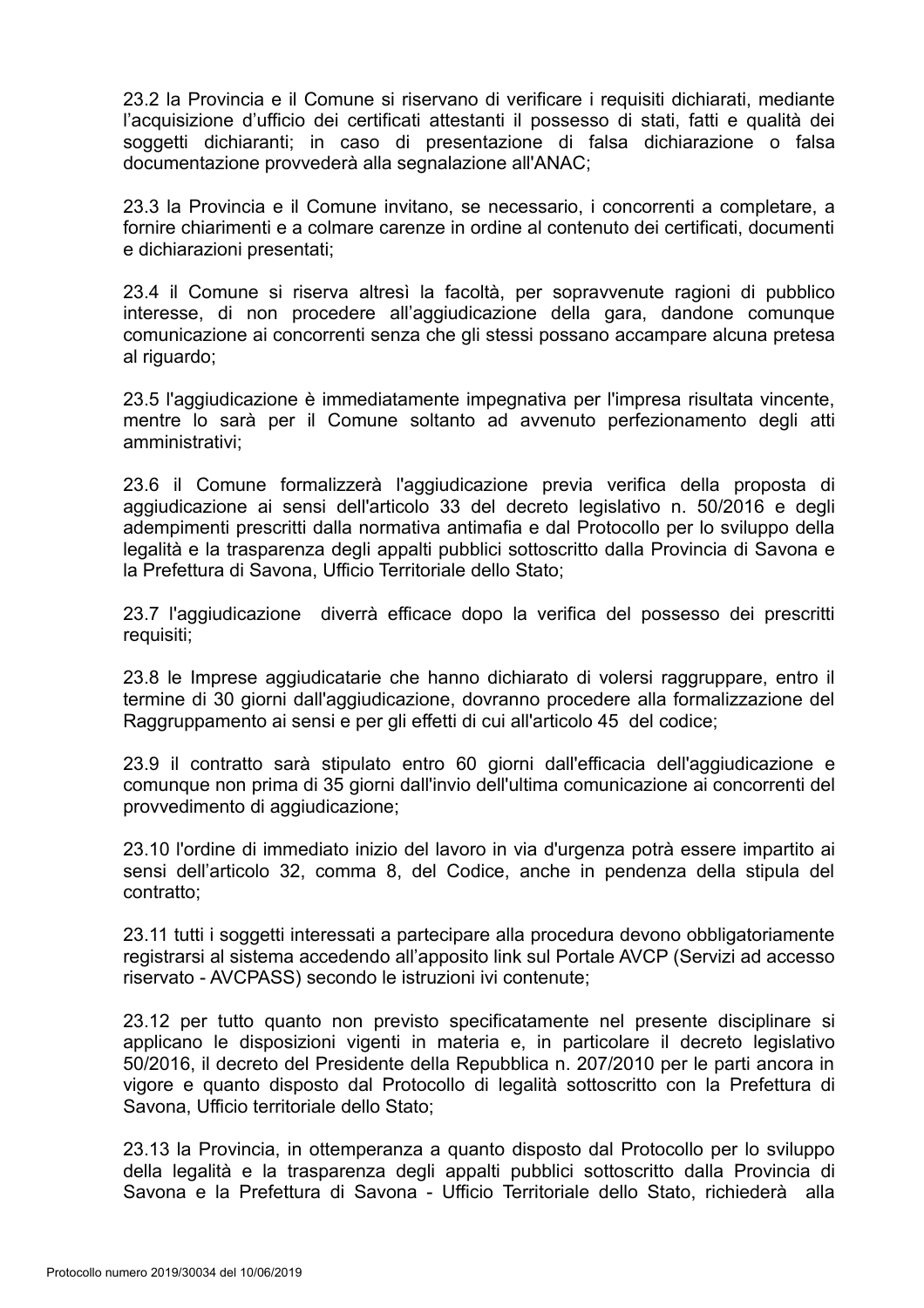23.2 la Provincia e il Comune si riservano di verificare i reguisiti dichiarati, mediante l'acquisizione d'ufficio dei certificati attestanti il possesso di stati, fatti e qualità dei soggetti dichiaranti; in caso di presentazione di falsa dichiarazione o falsa documentazione provvederà alla segnalazione all'ANAC;

23.3 la Provincia e il Comune invitano, se necessario, i concorrenti a completare, a fornire chiarimenti e a colmare carenze in ordine al contenuto dei certificati, documenti e dichiarazioni presentati;

23.4 il Comune si riserva altresì la facoltà, per sopravvenute ragioni di pubblico interesse, di non procedere all'aggiudicazione della gara, dandone comunque comunicazione ai concorrenti senza che gli stessi possano accampare alcuna pretesa al riguardo;

23.5 l'aggiudicazione è immediatamente impegnativa per l'impresa risultata vincente, mentre lo sarà per il Comune soltanto ad avvenuto perfezionamento degli atti amministrativi;

23.6 il Comune formalizzerà l'aggiudicazione previa verifica della proposta di aggiudicazione ai sensi dell'articolo 33 del decreto legislativo n. 50/2016 e degli adempimenti prescritti dalla normativa antimafia e dal Protocollo per lo sviluppo della legalità e la trasparenza degli appalti pubblici sottoscritto dalla Provincia di Savona e la Prefettura di Savona, Ufficio Territoriale dello Stato;

23.7 l'aggiudicazione diverrà efficace dopo la verifica del possesso dei prescritti requisiti:

23.8 le Imprese aggiudicatarie che hanno dichiarato di volersi raggruppare, entro il termine di 30 giorni dall'aggiudicazione, dovranno procedere alla formalizzazione del Raggruppamento ai sensi e per gli effetti di cui all'articolo 45 del codice;

23.9 il contratto sarà stipulato entro 60 giorni dall'efficacia dell'aggiudicazione e comunque non prima di 35 giorni dall'invio dell'ultima comunicazione ai concorrenti del provvedimento di aggiudicazione;

23.10 l'ordine di immediato inizio del lavoro in via d'urgenza potrà essere impartito ai sensi dell'articolo 32, comma 8, del Codice, anche in pendenza della stipula del contratto:

23.11 tutti i soggetti interessati a partecipare alla procedura devono obbligatoriamente registrarsi al sistema accedendo all'apposito link sul Portale AVCP (Servizi ad accesso riservato - AVCPASS) secondo le istruzioni ivi contenute;

23.12 per tutto quanto non previsto specificatamente nel presente disciplinare si applicano le disposizioni vigenti in materia e, in particolare il decreto legislativo 50/2016, il decreto del Presidente della Repubblica n. 207/2010 per le parti ancora in vigore e quanto disposto dal Protocollo di legalità sottoscritto con la Prefettura di Savona, Ufficio territoriale dello Stato;

23.13 la Provincia, in ottemperanza a quanto disposto dal Protocollo per lo sviluppo della legalità e la trasparenza degli appalti pubblici sottoscritto dalla Provincia di Savona e la Prefettura di Savona - Ufficio Territoriale dello Stato, richiederà alla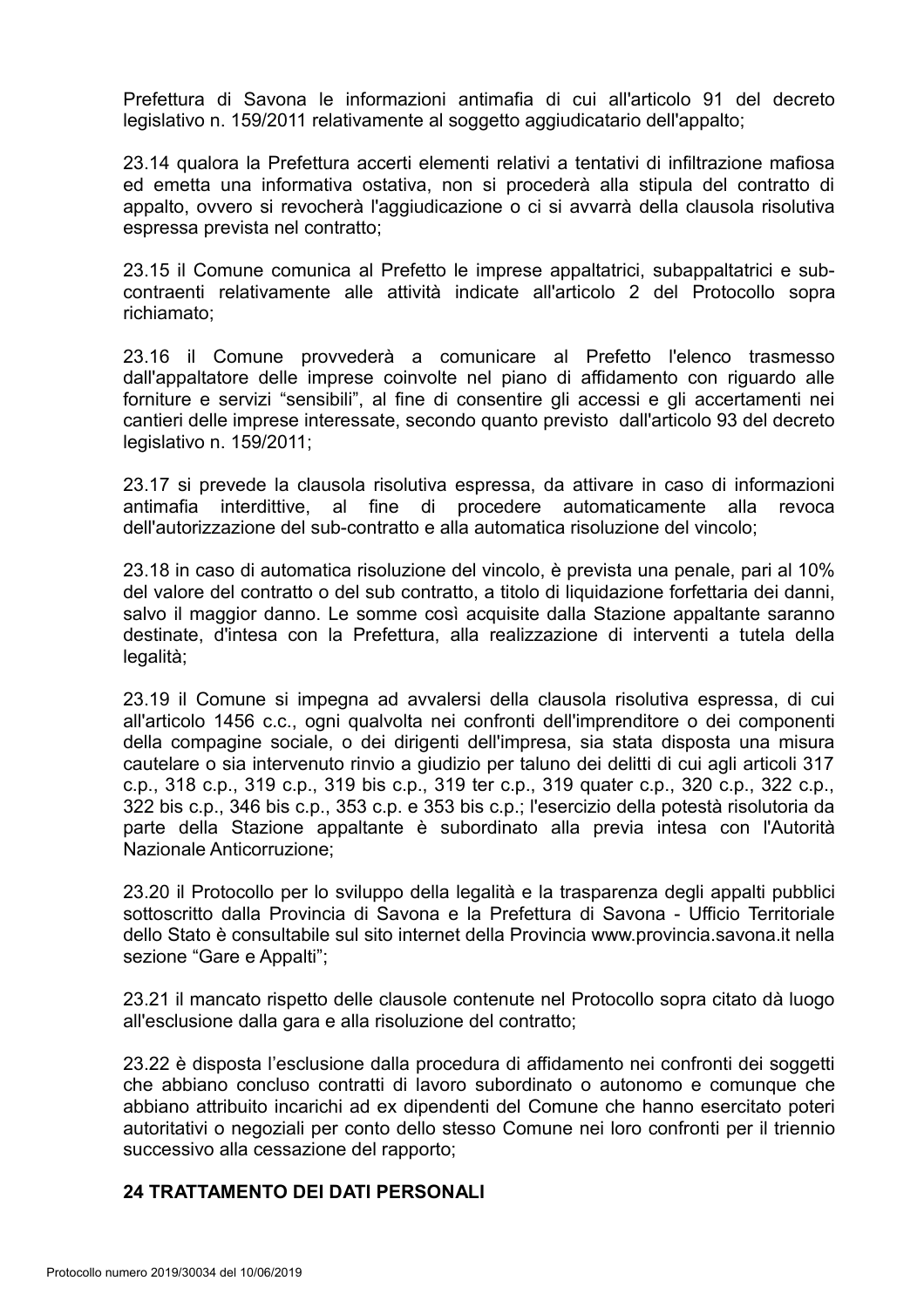Prefettura di Savona le informazioni antimafia di cui all'articolo 91 del decreto legislativo n. 159/2011 relativamente al soggetto aggiudicatario dell'appalto;

23.14 qualora la Prefettura accerti elementi relativi a tentativi di infiltrazione mafiosa ed emetta una informativa ostativa, non si procederà alla stipula del contratto di appalto, ovvero si revocherà l'aggiudicazione o ci si avvarrà della clausola risolutiva espressa prevista nel contratto:

23.15 il Comune comunica al Prefetto le imprese appaltatrici, subappaltatrici e subcontraenti relativamente alle attività indicate all'articolo 2 del Protocollo sopra richiamato:

23.16 il Comune provvederà a comunicare al Prefetto l'elenco trasmesso dall'appaltatore delle imprese coinvolte nel piano di affidamento con riquardo alle forniture e servizi "sensibili", al fine di consentire gli accessi e gli accertamenti nei cantieri delle imprese interessate, secondo quanto previsto dall'articolo 93 del decreto legislativo n. 159/2011;

23.17 si prevede la clausola risolutiva espressa, da attivare in caso di informazioni antimafia interdittive, al fine di procedere automaticamente alla revoca dell'autorizzazione del sub-contratto e alla automatica risoluzione del vincolo:

23.18 in caso di automatica risoluzione del vincolo, è prevista una penale, pari al 10% del valore del contratto o del sub contratto, a titolo di liguidazione forfettaria dei danni, salvo il maggior danno. Le somme così acquisite dalla Stazione appaltante saranno destinate, d'intesa con la Prefettura, alla realizzazione di interventi a tutela della legalità;

23.19 il Comune si impegna ad avvalersi della clausola risolutiva espressa, di cui all'articolo 1456 c.c., ogni qualvolta nei confronti dell'imprenditore o dei componenti della compagine sociale, o dei dirigenti dell'impresa, sia stata disposta una misura cautelare o sia intervenuto rinvio a giudizio per taluno dei delitti di cui agli articoli 317 c.p., 318 c.p., 319 c.p., 319 bis c.p., 319 ter c.p., 319 quater c.p., 320 c.p., 322 c.p., 322 bis c.p., 346 bis c.p., 353 c.p. e 353 bis c.p.; l'esercizio della potestà risolutoria da parte della Stazione appaltante è subordinato alla previa intesa con l'Autorità Nazionale Anticorruzione:

23.20 il Protocollo per lo sviluppo della legalità e la trasparenza degli appalti pubblici sottoscritto dalla Provincia di Savona e la Prefettura di Savona - Ufficio Territoriale dello Stato è consultabile sul sito internet della Provincia www.provincia.savona.it nella sezione "Gare e Appalti";

23.21 il mancato rispetto delle clausole contenute nel Protocollo sopra citato dà luogo all'esclusione dalla gara e alla risoluzione del contratto;

23.22 è disposta l'esclusione dalla procedura di affidamento nei confronti dei soggetti che abbiano concluso contratti di lavoro subordinato o autonomo e comunque che abbiano attribuito incarichi ad ex dipendenti del Comune che hanno esercitato poteri autoritativi o negoziali per conto dello stesso Comune nei loro confronti per il triennio successivo alla cessazione del rapporto:

## **24 TRATTAMENTO DEI DATI PERSONALI**